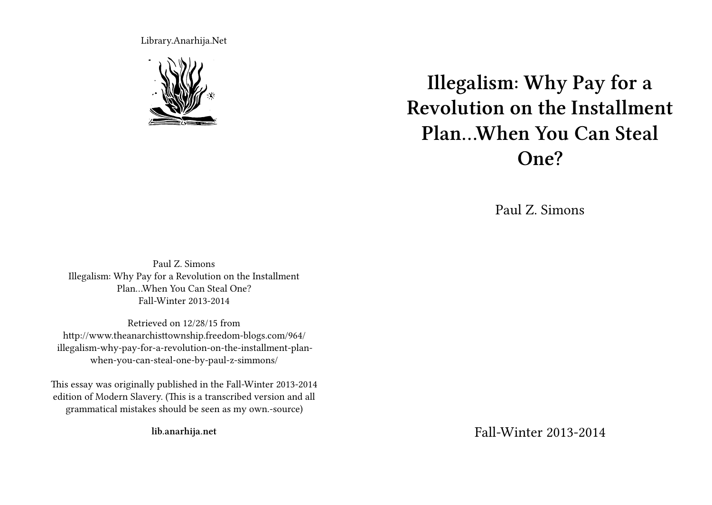Library.Anarhija.Net



**Illegalism: Why Pay for a Revolution on the Installment Plan…When You Can Steal One?**

Paul Z. Simons

Paul Z. Simons Illegalism: Why Pay for a Revolution on the Installment Plan…When You Can Steal One? Fall-Winter 2013-2014

Retrieved on 12/28/15 from http://www.theanarchisttownship.freedom-blogs.com/964/ illegalism-why-pay-for-a-revolution-on-the-installment-planwhen-you-can-steal-one-by-paul-z-simmons/

This essay was originally published in the Fall-Winter 2013-2014 edition of Modern Slavery. (This is a transcribed version and all grammatical mistakes should be seen as my own.-source)

**lib.anarhija.net**

Fall-Winter 2013-2014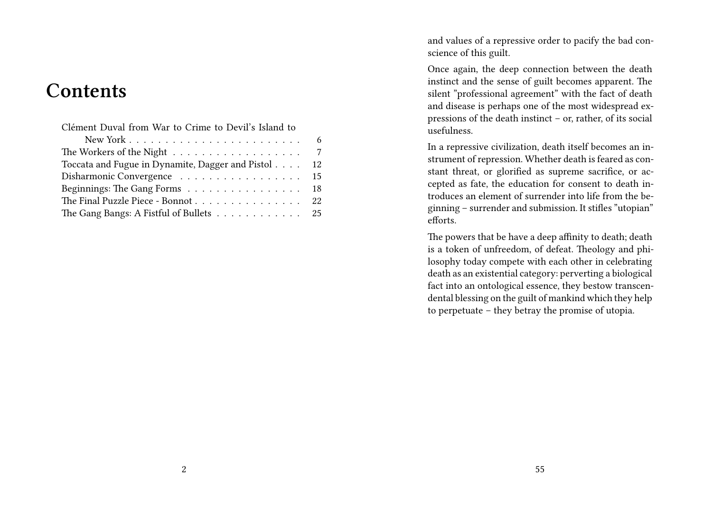# **Contents**

| Clément Duval from War to Crime to Devil's Island to |
|------------------------------------------------------|
|                                                      |
|                                                      |
| Toccata and Fugue in Dynamite, Dagger and Pistol 12  |
| Disharmonic Convergence 15                           |
| Beginnings: The Gang Forms 18                        |
| The Final Puzzle Piece - Bonnot 22                   |
| The Gang Bangs: A Fistful of Bullets 25              |

and values of a repressive order to pacify the bad conscience of this guilt.

Once again, the deep connection between the death instinct and the sense of guilt becomes apparent. The silent "professional agreement" with the fact of death and disease is perhaps one of the most widespread expressions of the death instinct – or, rather, of its social usefulness.

In a repressive civilization, death itself becomes an instrument of repression. Whether death is feared as constant threat, or glorified as supreme sacrifice, or accepted as fate, the education for consent to death introduces an element of surrender into life from the beginning – surrender and submission. It stifles "utopian" efforts.

The powers that be have a deep affinity to death; death is a token of unfreedom, of defeat. Theology and philosophy today compete with each other in celebrating death as an existential category: perverting a biological fact into an ontological essence, they bestow transcendental blessing on the guilt of mankind which they help to perpetuate – they betray the promise of utopia.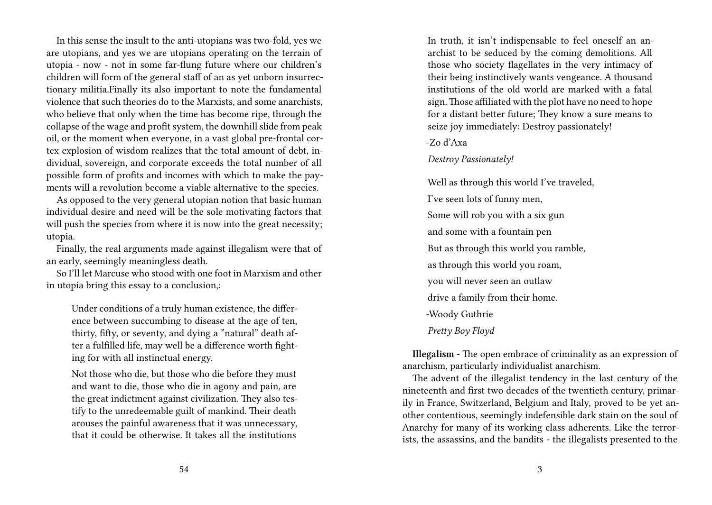In this sense the insult to the anti-utopians was two-fold, yes we are utopians, and yes we are utopians operating on the terrain of utopia - now - not in some far-flung future where our children's children will form of the general staff of an as yet unborn insurrectionary militia.Finally its also important to note the fundamental violence that such theories do to the Marxists, and some anarchists, who believe that only when the time has become ripe, through the collapse of the wage and profit system, the downhill slide from peak oil, or the moment when everyone, in a vast global pre-frontal cortex explosion of wisdom realizes that the total amount of debt, individual, sovereign, and corporate exceeds the total number of all possible form of profits and incomes with which to make the payments will a revolution become a viable alternative to the species.

As opposed to the very general utopian notion that basic human individual desire and need will be the sole motivating factors that will push the species from where it is now into the great necessity; utopia.

Finally, the real arguments made against illegalism were that of an early, seemingly meaningless death.

So I'll let Marcuse who stood with one foot in Marxism and other in utopia bring this essay to a conclusion,:

Under conditions of a truly human existence, the difference between succumbing to disease at the age of ten, thirty, fifty, or seventy, and dying a "natural" death after a fulfilled life, may well be a difference worth fighting for with all instinctual energy.

Not those who die, but those who die before they must and want to die, those who die in agony and pain, are the great indictment against civilization. They also testify to the unredeemable guilt of mankind. Their death arouses the painful awareness that it was unnecessary, that it could be otherwise. It takes all the institutions

In truth, it isn't indispensable to feel oneself an anarchist to be seduced by the coming demolitions. All those who society flagellates in the very intimacy of their being instinctively wants vengeance. A thousand institutions of the old world are marked with a fatal sign. Those affiliated with the plot have no need to hope for a distant better future; They know a sure means to seize joy immediately: Destroy passionately!

-Zo d'Axa

*Destroy Passionately!*

Well as through this world I've traveled, I've seen lots of funny men, Some will rob you with a six gun and some with a fountain pen But as through this world you ramble, as through this world you roam, you will never seen an outlaw drive a family from their home. -Woody Guthrie *Pretty Boy Floyd*

**Illegalism** - The open embrace of criminality as an expression of anarchism, particularly individualist anarchism.

The advent of the illegalist tendency in the last century of the nineteenth and first two decades of the twentieth century, primarily in France, Switzerland, Belgium and Italy, proved to be yet another contentious, seemingly indefensible dark stain on the soul of Anarchy for many of its working class adherents. Like the terrorists, the assassins, and the bandits - the illegalists presented to the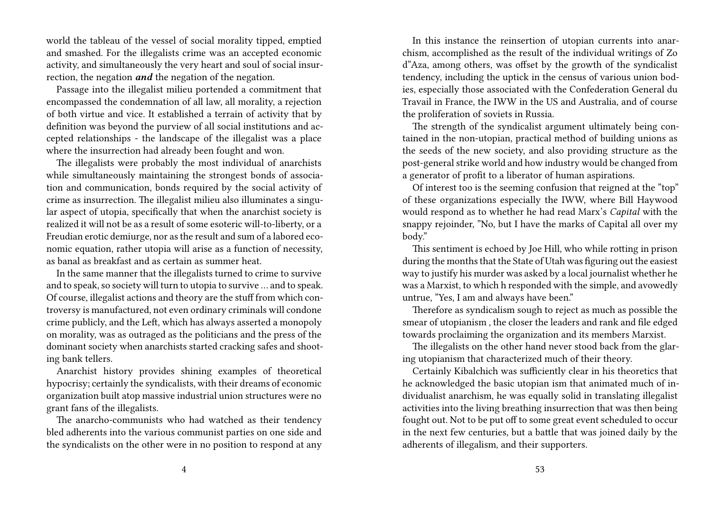world the tableau of the vessel of social morality tipped, emptied and smashed. For the illegalists crime was an accepted economic activity, and simultaneously the very heart and soul of social insurrection, the negation *and* the negation of the negation.

Passage into the illegalist milieu portended a commitment that encompassed the condemnation of all law, all morality, a rejection of both virtue and vice. It established a terrain of activity that by definition was beyond the purview of all social institutions and accepted relationships - the landscape of the illegalist was a place where the insurrection had already been fought and won.

The illegalists were probably the most individual of anarchists while simultaneously maintaining the strongest bonds of association and communication, bonds required by the social activity of crime as insurrection. The illegalist milieu also illuminates a singular aspect of utopia, specifically that when the anarchist society is realized it will not be as a result of some esoteric will-to-liberty, or a Freudian erotic demiurge, nor as the result and sum of a labored economic equation, rather utopia will arise as a function of necessity, as banal as breakfast and as certain as summer heat.

In the same manner that the illegalists turned to crime to survive and to speak, so society will turn to utopia to survive … and to speak. Of course, illegalist actions and theory are the stuff from which controversy is manufactured, not even ordinary criminals will condone crime publicly, and the Left, which has always asserted a monopoly on morality, was as outraged as the politicians and the press of the dominant society when anarchists started cracking safes and shooting bank tellers.

Anarchist history provides shining examples of theoretical hypocrisy; certainly the syndicalists, with their dreams of economic organization built atop massive industrial union structures were no grant fans of the illegalists.

The anarcho-communists who had watched as their tendency bled adherents into the various communist parties on one side and the syndicalists on the other were in no position to respond at any

In this instance the reinsertion of utopian currents into anarchism, accomplished as the result of the individual writings of Zo d"Aza, among others, was offset by the growth of the syndicalist tendency, including the uptick in the census of various union bodies, especially those associated with the Confederation General du Travail in France, the IWW in the US and Australia, and of course the proliferation of soviets in Russia.

The strength of the syndicalist argument ultimately being contained in the non-utopian, practical method of building unions as the seeds of the new society, and also providing structure as the post-general strike world and how industry would be changed from a generator of profit to a liberator of human aspirations.

Of interest too is the seeming confusion that reigned at the "top" of these organizations especially the IWW, where Bill Haywood would respond as to whether he had read Marx's *Capital* with the snappy rejoinder, "No, but I have the marks of Capital all over my body."

This sentiment is echoed by Joe Hill, who while rotting in prison during the months that the State of Utah was figuring out the easiest way to justify his murder was asked by a local journalist whether he was a Marxist, to which h responded with the simple, and avowedly untrue, "Yes, I am and always have been."

Therefore as syndicalism sough to reject as much as possible the smear of utopianism , the closer the leaders and rank and file edged towards proclaiming the organization and its members Marxist.

The illegalists on the other hand never stood back from the glaring utopianism that characterized much of their theory.

Certainly Kibalchich was sufficiently clear in his theoretics that he acknowledged the basic utopian ism that animated much of individualist anarchism, he was equally solid in translating illegalist activities into the living breathing insurrection that was then being fought out. Not to be put off to some great event scheduled to occur in the next few centuries, but a battle that was joined daily by the adherents of illegalism, and their supporters.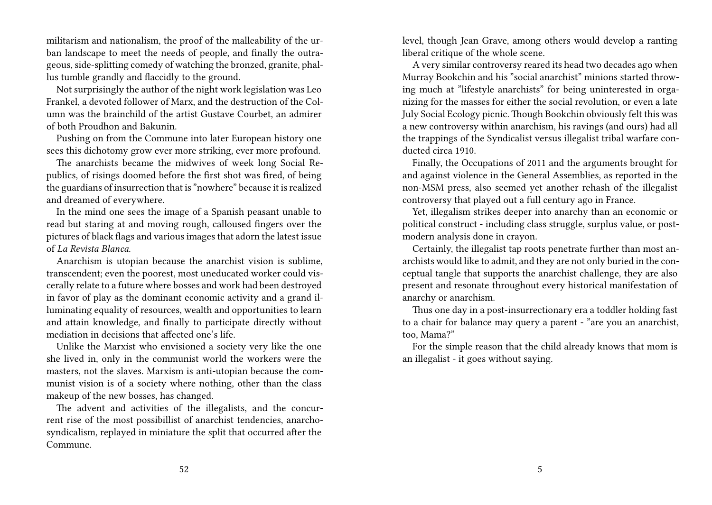militarism and nationalism, the proof of the malleability of the urban landscape to meet the needs of people, and finally the outrageous, side-splitting comedy of watching the bronzed, granite, phallus tumble grandly and flaccidly to the ground.

Not surprisingly the author of the night work legislation was Leo Frankel, a devoted follower of Marx, and the destruction of the Column was the brainchild of the artist Gustave Courbet, an admirer of both Proudhon and Bakunin.

Pushing on from the Commune into later European history one sees this dichotomy grow ever more striking, ever more profound.

The anarchists became the midwives of week long Social Republics, of risings doomed before the first shot was fired, of being the guardians of insurrection that is "nowhere" because it is realized and dreamed of everywhere.

In the mind one sees the image of a Spanish peasant unable to read but staring at and moving rough, calloused fingers over the pictures of black flags and various images that adorn the latest issue of *La Revista Blanca*.

Anarchism is utopian because the anarchist vision is sublime, transcendent; even the poorest, most uneducated worker could viscerally relate to a future where bosses and work had been destroyed in favor of play as the dominant economic activity and a grand illuminating equality of resources, wealth and opportunities to learn and attain knowledge, and finally to participate directly without mediation in decisions that affected one's life.

Unlike the Marxist who envisioned a society very like the one she lived in, only in the communist world the workers were the masters, not the slaves. Marxism is anti-utopian because the communist vision is of a society where nothing, other than the class makeup of the new bosses, has changed.

The advent and activities of the illegalists, and the concurrent rise of the most possibillist of anarchist tendencies, anarchosyndicalism, replayed in miniature the split that occurred after the Commune.

level, though Jean Grave, among others would develop a ranting liberal critique of the whole scene.

A very similar controversy reared its head two decades ago when Murray Bookchin and his "social anarchist" minions started throwing much at "lifestyle anarchists" for being uninterested in organizing for the masses for either the social revolution, or even a late July Social Ecology picnic. Though Bookchin obviously felt this was a new controversy within anarchism, his ravings (and ours) had all the trappings of the Syndicalist versus illegalist tribal warfare conducted circa 1910.

Finally, the Occupations of 2011 and the arguments brought for and against violence in the General Assemblies, as reported in the non-MSM press, also seemed yet another rehash of the illegalist controversy that played out a full century ago in France.

Yet, illegalism strikes deeper into anarchy than an economic or political construct - including class struggle, surplus value, or postmodern analysis done in crayon.

Certainly, the illegalist tap roots penetrate further than most anarchists would like to admit, and they are not only buried in the conceptual tangle that supports the anarchist challenge, they are also present and resonate throughout every historical manifestation of anarchy or anarchism.

Thus one day in a post-insurrectionary era a toddler holding fast to a chair for balance may query a parent - "are you an anarchist, too, Mama?"

For the simple reason that the child already knows that mom is an illegalist - it goes without saying.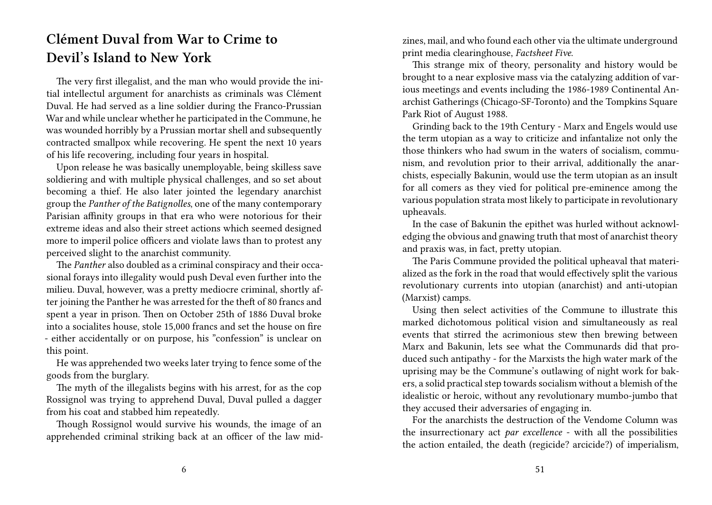## **Clément Duval from War to Crime to Devil's Island to New York**

The very first illegalist, and the man who would provide the initial intellectul argument for anarchists as criminals was Clément Duval. He had served as a line soldier during the Franco-Prussian War and while unclear whether he participated in the Commune, he was wounded horribly by a Prussian mortar shell and subsequently contracted smallpox while recovering. He spent the next 10 years of his life recovering, including four years in hospital.

Upon release he was basically unemployable, being skilless save soldiering and with multiple physical challenges, and so set about becoming a thief. He also later jointed the legendary anarchist group the *Panther of the Batignolles*, one of the many contemporary Parisian affinity groups in that era who were notorious for their extreme ideas and also their street actions which seemed designed more to imperil police officers and violate laws than to protest any perceived slight to the anarchist community.

The *Panther* also doubled as a criminal conspiracy and their occasional forays into illegality would push Deval even further into the milieu. Duval, however, was a pretty mediocre criminal, shortly after joining the Panther he was arrested for the theft of 80 francs and spent a year in prison. Then on October 25th of 1886 Duval broke into a socialites house, stole 15,000 francs and set the house on fire - either accidentally or on purpose, his "confession" is unclear on this point.

He was apprehended two weeks later trying to fence some of the goods from the burglary.

The myth of the illegalists begins with his arrest, for as the cop Rossignol was trying to apprehend Duval, Duval pulled a dagger from his coat and stabbed him repeatedly.

Though Rossignol would survive his wounds, the image of an apprehended criminal striking back at an officer of the law midzines, mail, and who found each other via the ultimate underground print media clearinghouse, *Factsheet Five*.

This strange mix of theory, personality and history would be brought to a near explosive mass via the catalyzing addition of various meetings and events including the 1986-1989 Continental Anarchist Gatherings (Chicago-SF-Toronto) and the Tompkins Square Park Riot of August 1988.

Grinding back to the 19th Century - Marx and Engels would use the term utopian as a way to criticize and infantalize not only the those thinkers who had swum in the waters of socialism, communism, and revolution prior to their arrival, additionally the anarchists, especially Bakunin, would use the term utopian as an insult for all comers as they vied for political pre-eminence among the various population strata most likely to participate in revolutionary upheavals.

In the case of Bakunin the epithet was hurled without acknowledging the obvious and gnawing truth that most of anarchist theory and praxis was, in fact, pretty utopian.

The Paris Commune provided the political upheaval that materialized as the fork in the road that would effectively split the various revolutionary currents into utopian (anarchist) and anti-utopian (Marxist) camps.

Using then select activities of the Commune to illustrate this marked dichotomous political vision and simultaneously as real events that stirred the acrimonious stew then brewing between Marx and Bakunin, lets see what the Communards did that produced such antipathy - for the Marxists the high water mark of the uprising may be the Commune's outlawing of night work for bakers, a solid practical step towards socialism without a blemish of the idealistic or heroic, without any revolutionary mumbo-jumbo that they accused their adversaries of engaging in.

For the anarchists the destruction of the Vendome Column was the insurrectionary act *par excellence* - with all the possibilities the action entailed, the death (regicide? arcicide?) of imperialism,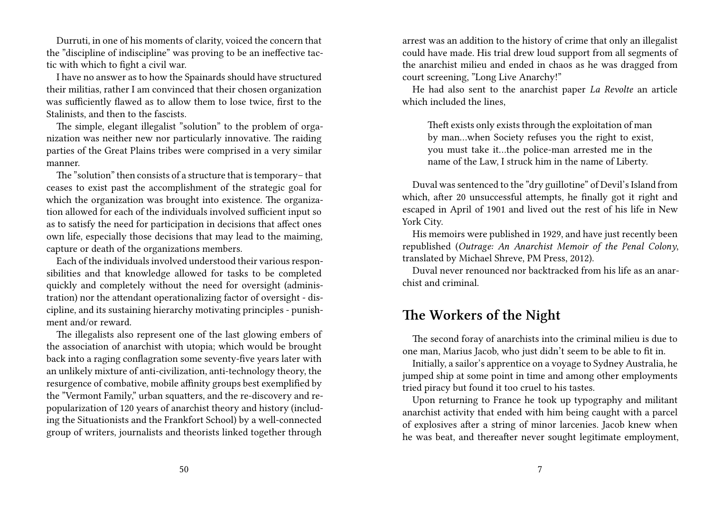Durruti, in one of his moments of clarity, voiced the concern that the "discipline of indiscipline" was proving to be an ineffective tactic with which to fight a civil war.

I have no answer as to how the Spainards should have structured their militias, rather I am convinced that their chosen organization was sufficiently flawed as to allow them to lose twice, first to the Stalinists, and then to the fascists.

The simple, elegant illegalist "solution" to the problem of organization was neither new nor particularly innovative. The raiding parties of the Great Plains tribes were comprised in a very similar manner.

The "solution" then consists of a structure that is temporary– that ceases to exist past the accomplishment of the strategic goal for which the organization was brought into existence. The organization allowed for each of the individuals involved sufficient input so as to satisfy the need for participation in decisions that affect ones own life, especially those decisions that may lead to the maiming, capture or death of the organizations members.

Each of the individuals involved understood their various responsibilities and that knowledge allowed for tasks to be completed quickly and completely without the need for oversight (administration) nor the attendant operationalizing factor of oversight - discipline, and its sustaining hierarchy motivating principles - punishment and/or reward.

The illegalists also represent one of the last glowing embers of the association of anarchist with utopia; which would be brought back into a raging conflagration some seventy-five years later with an unlikely mixture of anti-civilization, anti-technology theory, the resurgence of combative, mobile affinity groups best exemplified by the "Vermont Family," urban squatters, and the re-discovery and repopularization of 120 years of anarchist theory and history (including the Situationists and the Frankfort School) by a well-connected group of writers, journalists and theorists linked together through

arrest was an addition to the history of crime that only an illegalist could have made. His trial drew loud support from all segments of the anarchist milieu and ended in chaos as he was dragged from court screening, "Long Live Anarchy!"

He had also sent to the anarchist paper *La Revolte* an article which included the lines,

Theft exists only exists through the exploitation of man by man…when Society refuses you the right to exist, you must take it…the police-man arrested me in the name of the Law, I struck him in the name of Liberty.

Duval was sentenced to the "dry guillotine" of Devil's Island from which, after 20 unsuccessful attempts, he finally got it right and escaped in April of 1901 and lived out the rest of his life in New York City.

His memoirs were published in 1929, and have just recently been republished (*Outrage: An Anarchist Memoir of the Penal Colony*, translated by Michael Shreve, PM Press, 2012).

Duval never renounced nor backtracked from his life as an anarchist and criminal.

### **The Workers of the Night**

The second foray of anarchists into the criminal milieu is due to one man, Marius Jacob, who just didn't seem to be able to fit in.

Initially, a sailor's apprentice on a voyage to Sydney Australia, he jumped ship at some point in time and among other employments tried piracy but found it too cruel to his tastes.

Upon returning to France he took up typography and militant anarchist activity that ended with him being caught with a parcel of explosives after a string of minor larcenies. Jacob knew when he was beat, and thereafter never sought legitimate employment,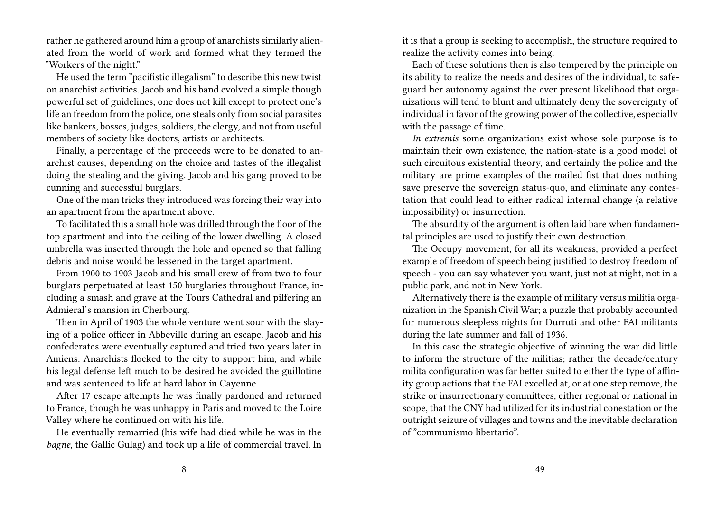rather he gathered around him a group of anarchists similarly alienated from the world of work and formed what they termed the "Workers of the night."

He used the term "pacifistic illegalism" to describe this new twist on anarchist activities. Jacob and his band evolved a simple though powerful set of guidelines, one does not kill except to protect one's life an freedom from the police, one steals only from social parasites like bankers, bosses, judges, soldiers, the clergy, and not from useful members of society like doctors, artists or architects.

Finally, a percentage of the proceeds were to be donated to anarchist causes, depending on the choice and tastes of the illegalist doing the stealing and the giving. Jacob and his gang proved to be cunning and successful burglars.

One of the man tricks they introduced was forcing their way into an apartment from the apartment above.

To facilitated this a small hole was drilled through the floor of the top apartment and into the ceiling of the lower dwelling. A closed umbrella was inserted through the hole and opened so that falling debris and noise would be lessened in the target apartment.

From 1900 to 1903 Jacob and his small crew of from two to four burglars perpetuated at least 150 burglaries throughout France, including a smash and grave at the Tours Cathedral and pilfering an Admieral's mansion in Cherbourg.

Then in April of 1903 the whole venture went sour with the slaying of a police officer in Abbeville during an escape. Jacob and his confederates were eventually captured and tried two years later in Amiens. Anarchists flocked to the city to support him, and while his legal defense left much to be desired he avoided the guillotine and was sentenced to life at hard labor in Cayenne.

After 17 escape attempts he was finally pardoned and returned to France, though he was unhappy in Paris and moved to the Loire Valley where he continued on with his life.

He eventually remarried (his wife had died while he was in the *bagne*, the Gallic Gulag) and took up a life of commercial travel. In it is that a group is seeking to accomplish, the structure required to realize the activity comes into being.

Each of these solutions then is also tempered by the principle on its ability to realize the needs and desires of the individual, to safeguard her autonomy against the ever present likelihood that organizations will tend to blunt and ultimately deny the sovereignty of individual in favor of the growing power of the collective, especially with the passage of time.

*In extremis* some organizations exist whose sole purpose is to maintain their own existence, the nation-state is a good model of such circuitous existential theory, and certainly the police and the military are prime examples of the mailed fist that does nothing save preserve the sovereign status-quo, and eliminate any contestation that could lead to either radical internal change (a relative impossibility) or insurrection.

The absurdity of the argument is often laid bare when fundamental principles are used to justify their own destruction.

The Occupy movement, for all its weakness, provided a perfect example of freedom of speech being justified to destroy freedom of speech - you can say whatever you want, just not at night, not in a public park, and not in New York.

Alternatively there is the example of military versus militia organization in the Spanish Civil War; a puzzle that probably accounted for numerous sleepless nights for Durruti and other FAI militants during the late summer and fall of 1936.

In this case the strategic objective of winning the war did little to inform the structure of the militias; rather the decade/century milita configuration was far better suited to either the type of affinity group actions that the FAI excelled at, or at one step remove, the strike or insurrectionary committees, either regional or national in scope, that the CNY had utilized for its industrial conestation or the outright seizure of villages and towns and the inevitable declaration of "communismo libertario".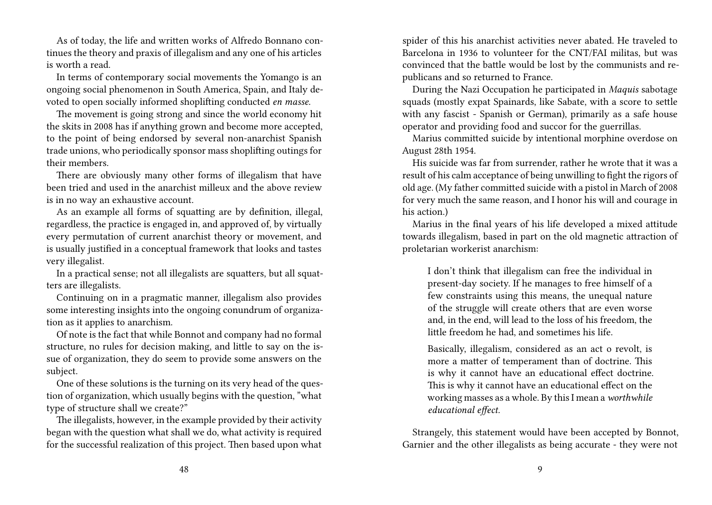As of today, the life and written works of Alfredo Bonnano continues the theory and praxis of illegalism and any one of his articles is worth a read.

In terms of contemporary social movements the Yomango is an ongoing social phenomenon in South America, Spain, and Italy devoted to open socially informed shoplifting conducted *en masse*.

The movement is going strong and since the world economy hit the skits in 2008 has if anything grown and become more accepted, to the point of being endorsed by several non-anarchist Spanish trade unions, who periodically sponsor mass shoplifting outings for their members.

There are obviously many other forms of illegalism that have been tried and used in the anarchist milleux and the above review is in no way an exhaustive account.

As an example all forms of squatting are by definition, illegal, regardless, the practice is engaged in, and approved of, by virtually every permutation of current anarchist theory or movement, and is usually justified in a conceptual framework that looks and tastes very illegalist.

In a practical sense; not all illegalists are squatters, but all squatters are illegalists.

Continuing on in a pragmatic manner, illegalism also provides some interesting insights into the ongoing conundrum of organization as it applies to anarchism.

Of note is the fact that while Bonnot and company had no formal structure, no rules for decision making, and little to say on the issue of organization, they do seem to provide some answers on the subject.

One of these solutions is the turning on its very head of the question of organization, which usually begins with the question, "what type of structure shall we create?"

The illegalists, however, in the example provided by their activity began with the question what shall we do, what activity is required for the successful realization of this project. Then based upon what spider of this his anarchist activities never abated. He traveled to Barcelona in 1936 to volunteer for the CNT/FAI militas, but was convinced that the battle would be lost by the communists and republicans and so returned to France.

During the Nazi Occupation he participated in *Maquis* sabotage squads (mostly expat Spainards, like Sabate, with a score to settle with any fascist - Spanish or German), primarily as a safe house operator and providing food and succor for the guerrillas.

Marius committed suicide by intentional morphine overdose on August 28th 1954.

His suicide was far from surrender, rather he wrote that it was a result of his calm acceptance of being unwilling to fight the rigors of old age. (My father committed suicide with a pistol in March of 2008 for very much the same reason, and I honor his will and courage in his action.)

Marius in the final years of his life developed a mixed attitude towards illegalism, based in part on the old magnetic attraction of proletarian workerist anarchism:

I don't think that illegalism can free the individual in present-day society. If he manages to free himself of a few constraints using this means, the unequal nature of the struggle will create others that are even worse and, in the end, will lead to the loss of his freedom, the little freedom he had, and sometimes his life.

Basically, illegalism, considered as an act o revolt, is more a matter of temperament than of doctrine. This is why it cannot have an educational effect doctrine. This is why it cannot have an educational effect on the working masses as a whole. By this I mean a *worthwhile educational effect.*

Strangely, this statement would have been accepted by Bonnot, Garnier and the other illegalists as being accurate - they were not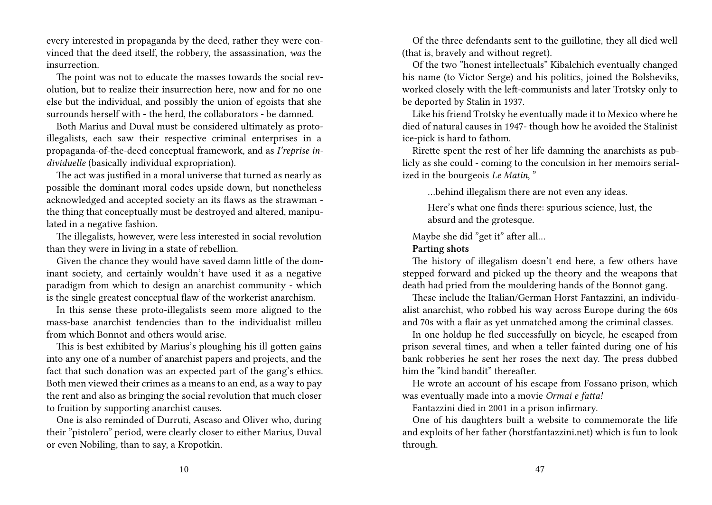every interested in propaganda by the deed, rather they were convinced that the deed itself, the robbery, the assassination, *was* the insurrection.

The point was not to educate the masses towards the social revolution, but to realize their insurrection here, now and for no one else but the individual, and possibly the union of egoists that she surrounds herself with - the herd, the collaborators - be damned.

Both Marius and Duval must be considered ultimately as protoillegalists, each saw their respective criminal enterprises in a propaganda-of-the-deed conceptual framework, and as *I'reprise individuelle* (basically individual expropriation).

The act was justified in a moral universe that turned as nearly as possible the dominant moral codes upside down, but nonetheless acknowledged and accepted society an its flaws as the strawman the thing that conceptually must be destroyed and altered, manipulated in a negative fashion.

The illegalists, however, were less interested in social revolution than they were in living in a state of rebellion.

Given the chance they would have saved damn little of the dominant society, and certainly wouldn't have used it as a negative paradigm from which to design an anarchist community - which is the single greatest conceptual flaw of the workerist anarchism.

In this sense these proto-illegalists seem more aligned to the mass-base anarchist tendencies than to the individualist milleu from which Bonnot and others would arise.

This is best exhibited by Marius's ploughing his ill gotten gains into any one of a number of anarchist papers and projects, and the fact that such donation was an expected part of the gang's ethics. Both men viewed their crimes as a means to an end, as a way to pay the rent and also as bringing the social revolution that much closer to fruition by supporting anarchist causes.

One is also reminded of Durruti, Ascaso and Oliver who, during their "pistolero" period, were clearly closer to either Marius, Duval or even Nobiling, than to say, a Kropotkin.

Of the three defendants sent to the guillotine, they all died well (that is, bravely and without regret).

Of the two "honest intellectuals" Kibalchich eventually changed his name (to Victor Serge) and his politics, joined the Bolsheviks, worked closely with the left-communists and later Trotsky only to be deported by Stalin in 1937.

Like his friend Trotsky he eventually made it to Mexico where he died of natural causes in 1947- though how he avoided the Stalinist ice-pick is hard to fathom.

Rirette spent the rest of her life damning the anarchists as publicly as she could - coming to the conculsion in her memoirs serialized in the bourgeois *Le Matin*, "

…behind illegalism there are not even any ideas.

Here's what one finds there: spurious science, lust, the absurd and the grotesque.

Maybe she did "get it" after all…

**Parting shots**

The history of illegalism doesn't end here, a few others have stepped forward and picked up the theory and the weapons that death had pried from the mouldering hands of the Bonnot gang.

These include the Italian/German Horst Fantazzini, an individualist anarchist, who robbed his way across Europe during the 60s and 70s with a flair as yet unmatched among the criminal classes.

In one holdup he fled successfully on bicycle, he escaped from prison several times, and when a teller fainted during one of his bank robberies he sent her roses the next day. The press dubbed him the "kind bandit" thereafter.

He wrote an account of his escape from Fossano prison, which was eventually made into a movie *Ormai e fatta!*

Fantazzini died in 2001 in a prison infirmary.

One of his daughters built a website to commemorate the life and exploits of her father (horstfantazzini.net) which is fun to look through.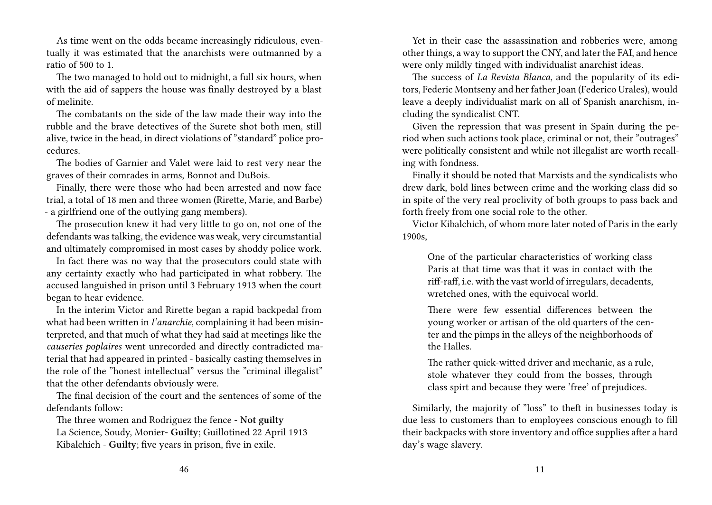As time went on the odds became increasingly ridiculous, eventually it was estimated that the anarchists were outmanned by a ratio of 500 to 1.

The two managed to hold out to midnight, a full six hours, when with the aid of sappers the house was finally destroyed by a blast of melinite.

The combatants on the side of the law made their way into the rubble and the brave detectives of the Surete shot both men, still alive, twice in the head, in direct violations of "standard" police procedures.

The bodies of Garnier and Valet were laid to rest very near the graves of their comrades in arms, Bonnot and DuBois.

Finally, there were those who had been arrested and now face trial, a total of 18 men and three women (Rirette, Marie, and Barbe) - a girlfriend one of the outlying gang members).

The prosecution knew it had very little to go on, not one of the defendants was talking, the evidence was weak, very circumstantial and ultimately compromised in most cases by shoddy police work.

In fact there was no way that the prosecutors could state with any certainty exactly who had participated in what robbery. The accused languished in prison until 3 February 1913 when the court began to hear evidence.

In the interim Victor and Rirette began a rapid backpedal from what had been written in *I'anarchie*, complaining it had been misinterpreted, and that much of what they had said at meetings like the *causeries poplaires* went unrecorded and directly contradicted material that had appeared in printed - basically casting themselves in the role of the "honest intellectual" versus the "criminal illegalist" that the other defendants obviously were.

The final decision of the court and the sentences of some of the defendants follow:

The three women and Rodriguez the fence - **Not guilty** La Science, Soudy, Monier- **Guilty**; Guillotined 22 April 1913 Kibalchich - **Guilty**; five years in prison, five in exile.

Yet in their case the assassination and robberies were, among other things, a way to support the CNY, and later the FAI, and hence were only mildly tinged with individualist anarchist ideas.

The success of *La Revista Blanca*, and the popularity of its editors, Federic Montseny and her father Joan (Federico Urales), would leave a deeply individualist mark on all of Spanish anarchism, including the syndicalist CNT.

Given the repression that was present in Spain during the period when such actions took place, criminal or not, their "outrages" were politically consistent and while not illegalist are worth recalling with fondness.

Finally it should be noted that Marxists and the syndicalists who drew dark, bold lines between crime and the working class did so in spite of the very real proclivity of both groups to pass back and forth freely from one social role to the other.

Victor Kibalchich, of whom more later noted of Paris in the early 1900s,

One of the particular characteristics of working class Paris at that time was that it was in contact with the riff-raff, i.e. with the vast world of irregulars, decadents, wretched ones, with the equivocal world.

There were few essential differences between the young worker or artisan of the old quarters of the center and the pimps in the alleys of the neighborhoods of the Halles.

The rather quick-witted driver and mechanic, as a rule, stole whatever they could from the bosses, through class spirt and because they were 'free' of prejudices.

Similarly, the majority of "loss" to theft in businesses today is due less to customers than to employees conscious enough to fill their backpacks with store inventory and office supplies after a hard day's wage slavery.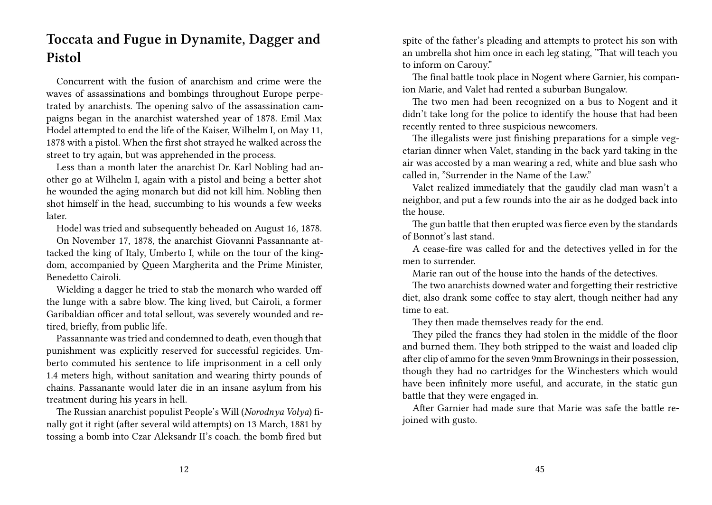### **Toccata and Fugue in Dynamite, Dagger and Pistol**

Concurrent with the fusion of anarchism and crime were the waves of assassinations and bombings throughout Europe perpetrated by anarchists. The opening salvo of the assassination campaigns began in the anarchist watershed year of 1878. Emil Max Hodel attempted to end the life of the Kaiser, Wilhelm I, on May 11, 1878 with a pistol. When the first shot strayed he walked across the street to try again, but was apprehended in the process.

Less than a month later the anarchist Dr. Karl Nobling had another go at Wilhelm I, again with a pistol and being a better shot he wounded the aging monarch but did not kill him. Nobling then shot himself in the head, succumbing to his wounds a few weeks later.

Hodel was tried and subsequently beheaded on August 16, 1878.

On November 17, 1878, the anarchist Giovanni Passannante attacked the king of Italy, Umberto I, while on the tour of the kingdom, accompanied by Queen Margherita and the Prime Minister, Benedetto Cairoli.

Wielding a dagger he tried to stab the monarch who warded off the lunge with a sabre blow. The king lived, but Cairoli, a former Garibaldian officer and total sellout, was severely wounded and retired, briefly, from public life.

Passannante was tried and condemned to death, even though that punishment was explicitly reserved for successful regicides. Umberto commuted his sentence to life imprisonment in a cell only 1.4 meters high, without sanitation and wearing thirty pounds of chains. Passanante would later die in an insane asylum from his treatment during his years in hell.

The Russian anarchist populist People's Will (*Norodnya Volya*) finally got it right (after several wild attempts) on 13 March, 1881 by tossing a bomb into Czar Aleksandr II's coach. the bomb fired but

spite of the father's pleading and attempts to protect his son with an umbrella shot him once in each leg stating, "That will teach you to inform on Carouy."

The final battle took place in Nogent where Garnier, his companion Marie, and Valet had rented a suburban Bungalow.

The two men had been recognized on a bus to Nogent and it didn't take long for the police to identify the house that had been recently rented to three suspicious newcomers.

The illegalists were just finishing preparations for a simple vegetarian dinner when Valet, standing in the back yard taking in the air was accosted by a man wearing a red, white and blue sash who called in, "Surrender in the Name of the Law."

Valet realized immediately that the gaudily clad man wasn't a neighbor, and put a few rounds into the air as he dodged back into the house.

The gun battle that then erupted was fierce even by the standards of Bonnot's last stand.

A cease-fire was called for and the detectives yelled in for the men to surrender.

Marie ran out of the house into the hands of the detectives.

The two anarchists downed water and forgetting their restrictive diet, also drank some coffee to stay alert, though neither had any time to eat.

They then made themselves ready for the end.

They piled the francs they had stolen in the middle of the floor and burned them. They both stripped to the waist and loaded clip after clip of ammo for the seven 9mm Brownings in their possession, though they had no cartridges for the Winchesters which would have been infinitely more useful, and accurate, in the static gun battle that they were engaged in.

After Garnier had made sure that Marie was safe the battle rejoined with gusto.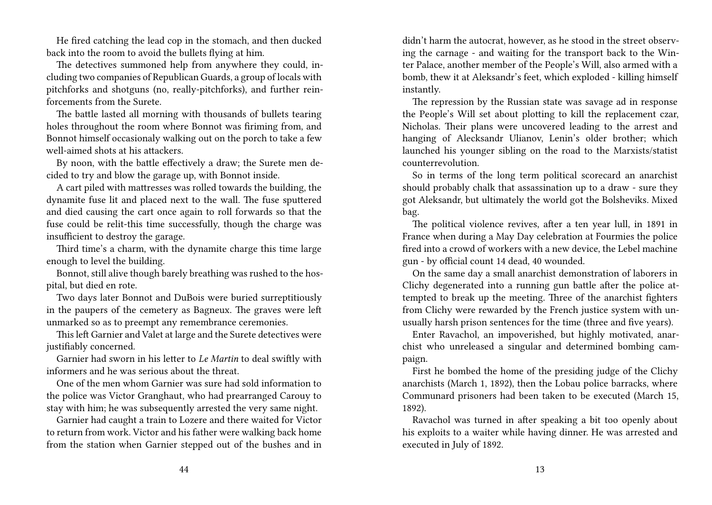He fired catching the lead cop in the stomach, and then ducked back into the room to avoid the bullets flying at him.

The detectives summoned help from anywhere they could, including two companies of Republican Guards, a group of locals with pitchforks and shotguns (no, really-pitchforks), and further reinforcements from the Surete.

The battle lasted all morning with thousands of bullets tearing holes throughout the room where Bonnot was firiming from, and Bonnot himself occasionaly walking out on the porch to take a few well-aimed shots at his attackers.

By noon, with the battle effectively a draw; the Surete men decided to try and blow the garage up, with Bonnot inside.

A cart piled with mattresses was rolled towards the building, the dynamite fuse lit and placed next to the wall. The fuse sputtered and died causing the cart once again to roll forwards so that the fuse could be relit-this time successfully, though the charge was insufficient to destroy the garage.

Third time's a charm, with the dynamite charge this time large enough to level the building.

Bonnot, still alive though barely breathing was rushed to the hospital, but died en rote.

Two days later Bonnot and DuBois were buried surreptitiously in the paupers of the cemetery as Bagneux. The graves were left unmarked so as to preempt any remembrance ceremonies.

This left Garnier and Valet at large and the Surete detectives were justifiably concerned.

Garnier had sworn in his letter to *Le Martin* to deal swiftly with informers and he was serious about the threat.

One of the men whom Garnier was sure had sold information to the police was Victor Granghaut, who had prearranged Carouy to stay with him; he was subsequently arrested the very same night.

Garnier had caught a train to Lozere and there waited for Victor to return from work. Victor and his father were walking back home from the station when Garnier stepped out of the bushes and in didn't harm the autocrat, however, as he stood in the street observing the carnage - and waiting for the transport back to the Winter Palace, another member of the People's Will, also armed with a bomb, thew it at Aleksandr's feet, which exploded - killing himself instantly.

The repression by the Russian state was savage ad in response the People's Will set about plotting to kill the replacement czar, Nicholas. Their plans were uncovered leading to the arrest and hanging of Alecksandr Ulianov, Lenin's older brother; which launched his younger sibling on the road to the Marxists/statist counterrevolution.

So in terms of the long term political scorecard an anarchist should probably chalk that assassination up to a draw - sure they got Aleksandr, but ultimately the world got the Bolsheviks. Mixed bag.

The political violence revives, after a ten year lull, in 1891 in France when during a May Day celebration at Fourmies the police fired into a crowd of workers with a new device, the Lebel machine gun - by official count 14 dead, 40 wounded.

On the same day a small anarchist demonstration of laborers in Clichy degenerated into a running gun battle after the police attempted to break up the meeting. Three of the anarchist fighters from Clichy were rewarded by the French justice system with unusually harsh prison sentences for the time (three and five years).

Enter Ravachol, an impoverished, but highly motivated, anarchist who unreleased a singular and determined bombing campaign.

First he bombed the home of the presiding judge of the Clichy anarchists (March 1, 1892), then the Lobau police barracks, where Communard prisoners had been taken to be executed (March 15, 1892).

Ravachol was turned in after speaking a bit too openly about his exploits to a waiter while having dinner. He was arrested and executed in July of 1892.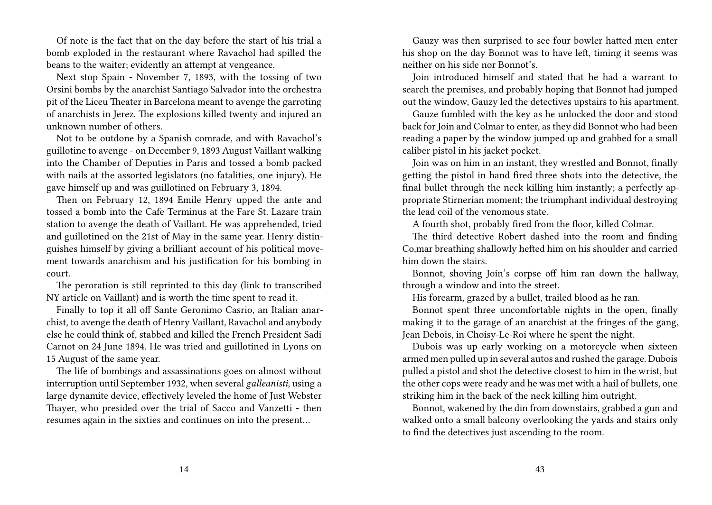Of note is the fact that on the day before the start of his trial a bomb exploded in the restaurant where Ravachol had spilled the beans to the waiter; evidently an attempt at vengeance.

Next stop Spain - November 7, 1893, with the tossing of two Orsini bombs by the anarchist Santiago Salvador into the orchestra pit of the Liceu Theater in Barcelona meant to avenge the garroting of anarchists in Jerez. The explosions killed twenty and injured an unknown number of others.

Not to be outdone by a Spanish comrade, and with Ravachol's guillotine to avenge - on December 9, 1893 August Vaillant walking into the Chamber of Deputies in Paris and tossed a bomb packed with nails at the assorted legislators (no fatalities, one injury). He gave himself up and was guillotined on February 3, 1894.

Then on February 12, 1894 Emile Henry upped the ante and tossed a bomb into the Cafe Terminus at the Fare St. Lazare train station to avenge the death of Vaillant. He was apprehended, tried and guillotined on the 21st of May in the same year. Henry distinguishes himself by giving a brilliant account of his political movement towards anarchism and his justification for his bombing in court.

The peroration is still reprinted to this day (link to transcribed NY article on Vaillant) and is worth the time spent to read it.

Finally to top it all off Sante Geronimo Casrio, an Italian anarchist, to avenge the death of Henry Vaillant, Ravachol and anybody else he could think of, stabbed and killed the French President Sadi Carnot on 24 June 1894. He was tried and guillotined in Lyons on 15 August of the same year.

The life of bombings and assassinations goes on almost without interruption until September 1932, when several *galleanisti*, using a large dynamite device, effectively leveled the home of Just Webster Thayer, who presided over the trial of Sacco and Vanzetti - then resumes again in the sixties and continues on into the present…

Gauzy was then surprised to see four bowler hatted men enter his shop on the day Bonnot was to have left, timing it seems was neither on his side nor Bonnot's.

Join introduced himself and stated that he had a warrant to search the premises, and probably hoping that Bonnot had jumped out the window, Gauzy led the detectives upstairs to his apartment.

Gauze fumbled with the key as he unlocked the door and stood back for Join and Colmar to enter, as they did Bonnot who had been reading a paper by the window jumped up and grabbed for a small caliber pistol in his jacket pocket.

Join was on him in an instant, they wrestled and Bonnot, finally getting the pistol in hand fired three shots into the detective, the final bullet through the neck killing him instantly; a perfectly appropriate Stirnerian moment; the triumphant individual destroying the lead coil of the venomous state.

A fourth shot, probably fired from the floor, killed Colmar.

The third detective Robert dashed into the room and finding Co,mar breathing shallowly hefted him on his shoulder and carried him down the stairs.

Bonnot, shoving Join's corpse off him ran down the hallway, through a window and into the street.

His forearm, grazed by a bullet, trailed blood as he ran.

Bonnot spent three uncomfortable nights in the open, finally making it to the garage of an anarchist at the fringes of the gang, Jean Debois, in Choisy-Le-Roi where he spent the night.

Dubois was up early working on a motorcycle when sixteen armed men pulled up in several autos and rushed the garage. Dubois pulled a pistol and shot the detective closest to him in the wrist, but the other cops were ready and he was met with a hail of bullets, one striking him in the back of the neck killing him outright.

Bonnot, wakened by the din from downstairs, grabbed a gun and walked onto a small balcony overlooking the yards and stairs only to find the detectives just ascending to the room.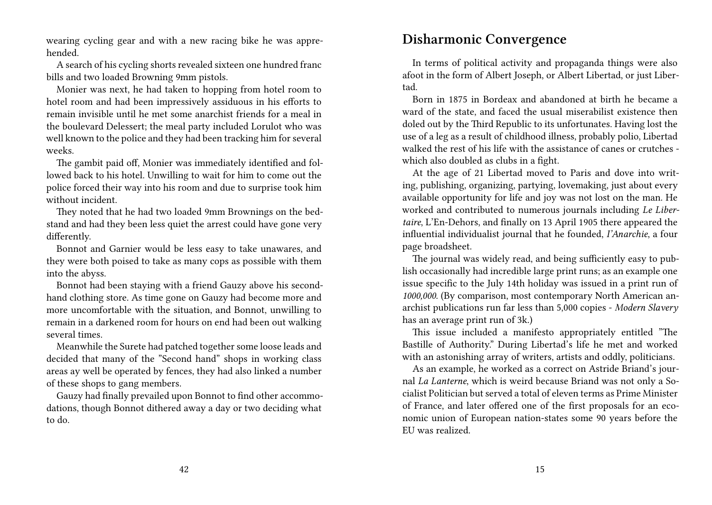wearing cycling gear and with a new racing bike he was apprehended.

A search of his cycling shorts revealed sixteen one hundred franc bills and two loaded Browning 9mm pistols.

Monier was next, he had taken to hopping from hotel room to hotel room and had been impressively assiduous in his efforts to remain invisible until he met some anarchist friends for a meal in the boulevard Delessert; the meal party included Lorulot who was well known to the police and they had been tracking him for several weeks.

The gambit paid off, Monier was immediately identified and followed back to his hotel. Unwilling to wait for him to come out the police forced their way into his room and due to surprise took him without incident.

They noted that he had two loaded 9mm Brownings on the bedstand and had they been less quiet the arrest could have gone very differently.

Bonnot and Garnier would be less easy to take unawares, and they were both poised to take as many cops as possible with them into the abyss.

Bonnot had been staying with a friend Gauzy above his secondhand clothing store. As time gone on Gauzy had become more and more uncomfortable with the situation, and Bonnot, unwilling to remain in a darkened room for hours on end had been out walking several times.

Meanwhile the Surete had patched together some loose leads and decided that many of the "Second hand" shops in working class areas ay well be operated by fences, they had also linked a number of these shops to gang members.

Gauzy had finally prevailed upon Bonnot to find other accommodations, though Bonnot dithered away a day or two deciding what to do.

#### **Disharmonic Convergence**

In terms of political activity and propaganda things were also afoot in the form of Albert Joseph, or Albert Libertad, or just Libertad.

Born in 1875 in Bordeax and abandoned at birth he became a ward of the state, and faced the usual miserabilist existence then doled out by the Third Republic to its unfortunates. Having lost the use of a leg as a result of childhood illness, probably polio, Libertad walked the rest of his life with the assistance of canes or crutches which also doubled as clubs in a fight.

At the age of 21 Libertad moved to Paris and dove into writing, publishing, organizing, partying, lovemaking, just about every available opportunity for life and joy was not lost on the man. He worked and contributed to numerous journals including *Le Libertaire*, L'En-Dehors, and finally on 13 April 1905 there appeared the influential individualist journal that he founded, *I'Anarchie*, a four page broadsheet.

The journal was widely read, and being sufficiently easy to publish occasionally had incredible large print runs; as an example one issue specific to the July 14th holiday was issued in a print run of *1000,000*. (By comparison, most contemporary North American anarchist publications run far less than 5,000 copies - *Modern Slavery* has an average print run of 3k.)

This issue included a manifesto appropriately entitled "The Bastille of Authority." During Libertad's life he met and worked with an astonishing array of writers, artists and oddly, politicians.

As an example, he worked as a correct on Astride Briand's journal *La Lanterne*, which is weird because Briand was not only a Socialist Politician but served a total of eleven terms as Prime Minister of France, and later offered one of the first proposals for an economic union of European nation-states some 90 years before the EU was realized.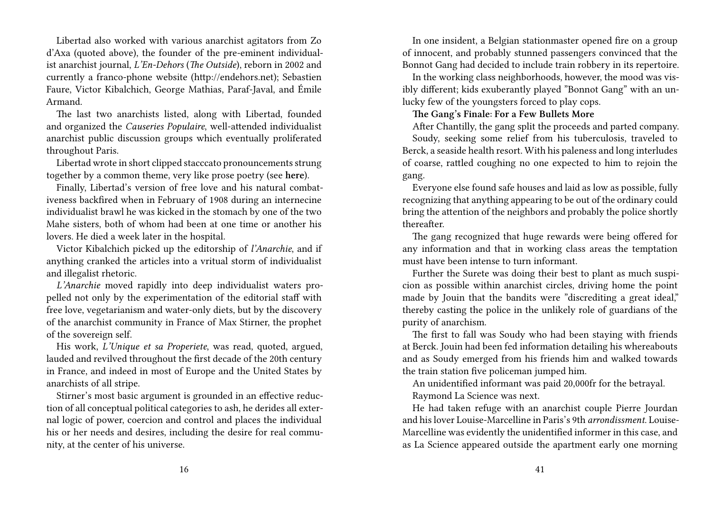Libertad also worked with various anarchist agitators from Zo d'Axa (quoted above), the founder of the pre-eminent individualist anarchist journal, *L'En-Dehors* (*The Outside*), reborn in 2002 and currently a franco-phone website (http://endehors.net); Sebastien Faure, Victor Kibalchich, George Mathias, Paraf-Javal, and Émile Armand.

The last two anarchists listed, along with Libertad, founded and organized the *Causeries Populaire*, well-attended individualist anarchist public discussion groups which eventually proliferated throughout Paris.

Libertad wrote in short clipped stacccato pronouncements strung together by a common theme, very like prose poetry (see **here**).

Finally, Libertad's version of free love and his natural combativeness backfired when in February of 1908 during an internecine individualist brawl he was kicked in the stomach by one of the two Mahe sisters, both of whom had been at one time or another his lovers. He died a week later in the hospital.

Victor Kibalchich picked up the editorship of *l'Anarchie*, and if anything cranked the articles into a vritual storm of individualist and illegalist rhetoric.

*L'Anarchie* moved rapidly into deep individualist waters propelled not only by the experimentation of the editorial staff with free love, vegetarianism and water-only diets, but by the discovery of the anarchist community in France of Max Stirner, the prophet of the sovereign self.

His work, *L'Unique et sa Properiete*, was read, quoted, argued, lauded and revilved throughout the first decade of the 20th century in France, and indeed in most of Europe and the United States by anarchists of all stripe.

Stirner's most basic argument is grounded in an effective reduction of all conceptual political categories to ash, he derides all external logic of power, coercion and control and places the individual his or her needs and desires, including the desire for real community, at the center of his universe.

In one insident, a Belgian stationmaster opened fire on a group of innocent, and probably stunned passengers convinced that the Bonnot Gang had decided to include train robbery in its repertoire.

In the working class neighborhoods, however, the mood was visibly different; kids exuberantly played "Bonnot Gang" with an unlucky few of the youngsters forced to play cops.

#### **The Gang's Finale: For a Few Bullets More**

After Chantilly, the gang split the proceeds and parted company.

Soudy, seeking some relief from his tuberculosis, traveled to Berck, a seaside health resort. With his paleness and long interludes of coarse, rattled coughing no one expected to him to rejoin the gang.

Everyone else found safe houses and laid as low as possible, fully recognizing that anything appearing to be out of the ordinary could bring the attention of the neighbors and probably the police shortly thereafter.

The gang recognized that huge rewards were being offered for any information and that in working class areas the temptation must have been intense to turn informant.

Further the Surete was doing their best to plant as much suspicion as possible within anarchist circles, driving home the point made by Jouin that the bandits were "discrediting a great ideal," thereby casting the police in the unlikely role of guardians of the purity of anarchism.

The first to fall was Soudy who had been staying with friends at Berck. Jouin had been fed information detailing his whereabouts and as Soudy emerged from his friends him and walked towards the train station five policeman jumped him.

An unidentified informant was paid 20,000fr for the betrayal.

Raymond La Science was next.

He had taken refuge with an anarchist couple Pierre Jourdan and his lover Louise-Marcelline in Paris's 9th *arrondissment*. Louise-Marcelline was evidently the unidentified informer in this case, and as La Science appeared outside the apartment early one morning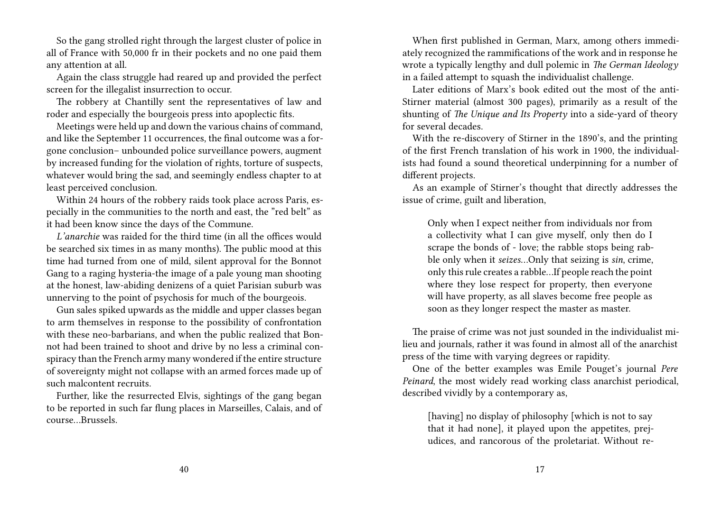So the gang strolled right through the largest cluster of police in all of France with 50,000 fr in their pockets and no one paid them any attention at all.

Again the class struggle had reared up and provided the perfect screen for the illegalist insurrection to occur.

The robbery at Chantilly sent the representatives of law and roder and especially the bourgeois press into apoplectic fits.

Meetings were held up and down the various chains of command, and like the September 11 occurrences, the final outcome was a forgone conclusion– unbounded police surveillance powers, augment by increased funding for the violation of rights, torture of suspects, whatever would bring the sad, and seemingly endless chapter to at least perceived conclusion.

Within 24 hours of the robbery raids took place across Paris, especially in the communities to the north and east, the "red belt" as it had been know since the days of the Commune.

*L'anarchie* was raided for the third time (in all the offices would be searched six times in as many months). The public mood at this time had turned from one of mild, silent approval for the Bonnot Gang to a raging hysteria-the image of a pale young man shooting at the honest, law-abiding denizens of a quiet Parisian suburb was unnerving to the point of psychosis for much of the bourgeois.

Gun sales spiked upwards as the middle and upper classes began to arm themselves in response to the possibility of confrontation with these neo-barbarians, and when the public realized that Bonnot had been trained to shoot and drive by no less a criminal conspiracy than the French army many wondered if the entire structure of sovereignty might not collapse with an armed forces made up of such malcontent recruits.

Further, like the resurrected Elvis, sightings of the gang began to be reported in such far flung places in Marseilles, Calais, and of course…Brussels.

When first published in German, Marx, among others immediately recognized the rammifications of the work and in response he wrote a typically lengthy and dull polemic in *The German Ideology* in a failed attempt to squash the individualist challenge.

Later editions of Marx's book edited out the most of the anti-Stirner material (almost 300 pages), primarily as a result of the shunting of *The Unique and Its Property* into a side-yard of theory for several decades.

With the re-discovery of Stirner in the 1890's, and the printing of the first French translation of his work in 1900, the individualists had found a sound theoretical underpinning for a number of different projects.

As an example of Stirner's thought that directly addresses the issue of crime, guilt and liberation,

Only when I expect neither from individuals nor from a collectivity what I can give myself, only then do I scrape the bonds of - love; the rabble stops being rabble only when it *seizes*…Only that seizing is *sin*, crime, only this rule creates a rabble…If people reach the point where they lose respect for property, then everyone will have property, as all slaves become free people as soon as they longer respect the master as master.

The praise of crime was not just sounded in the individualist milieu and journals, rather it was found in almost all of the anarchist press of the time with varying degrees or rapidity.

One of the better examples was Emile Pouget's journal *Pere Peinard*, the most widely read working class anarchist periodical, described vividly by a contemporary as,

[having] no display of philosophy [which is not to say that it had none], it played upon the appetites, prejudices, and rancorous of the proletariat. Without re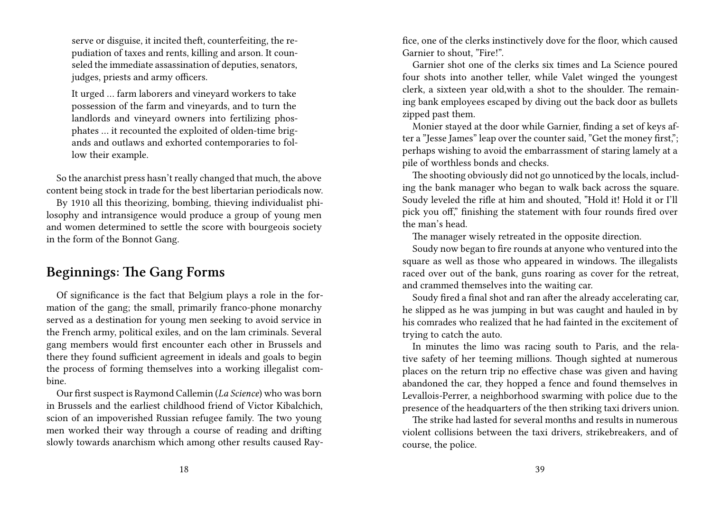serve or disguise, it incited theft, counterfeiting, the repudiation of taxes and rents, killing and arson. It counseled the immediate assassination of deputies, senators, judges, priests and army officers.

It urged … farm laborers and vineyard workers to take possession of the farm and vineyards, and to turn the landlords and vineyard owners into fertilizing phosphates … it recounted the exploited of olden-time brigands and outlaws and exhorted contemporaries to follow their example.

So the anarchist press hasn't really changed that much, the above content being stock in trade for the best libertarian periodicals now.

By 1910 all this theorizing, bombing, thieving individualist philosophy and intransigence would produce a group of young men and women determined to settle the score with bourgeois society in the form of the Bonnot Gang.

### **Beginnings: The Gang Forms**

Of significance is the fact that Belgium plays a role in the formation of the gang; the small, primarily franco-phone monarchy served as a destination for young men seeking to avoid service in the French army, political exiles, and on the lam criminals. Several gang members would first encounter each other in Brussels and there they found sufficient agreement in ideals and goals to begin the process of forming themselves into a working illegalist combine.

Our first suspect is Raymond Callemin (*La Science*) who was born in Brussels and the earliest childhood friend of Victor Kibalchich, scion of an impoverished Russian refugee family. The two young men worked their way through a course of reading and drifting slowly towards anarchism which among other results caused Rayfice, one of the clerks instinctively dove for the floor, which caused Garnier to shout, "Fire!".

Garnier shot one of the clerks six times and La Science poured four shots into another teller, while Valet winged the youngest clerk, a sixteen year old,with a shot to the shoulder. The remaining bank employees escaped by diving out the back door as bullets zipped past them.

Monier stayed at the door while Garnier, finding a set of keys after a "Jesse James" leap over the counter said, "Get the money first,"; perhaps wishing to avoid the embarrassment of staring lamely at a pile of worthless bonds and checks.

The shooting obviously did not go unnoticed by the locals, including the bank manager who began to walk back across the square. Soudy leveled the rifle at him and shouted, "Hold it! Hold it or I'll pick you off," finishing the statement with four rounds fired over the man's head.

The manager wisely retreated in the opposite direction.

Soudy now began to fire rounds at anyone who ventured into the square as well as those who appeared in windows. The illegalists raced over out of the bank, guns roaring as cover for the retreat, and crammed themselves into the waiting car.

Soudy fired a final shot and ran after the already accelerating car, he slipped as he was jumping in but was caught and hauled in by his comrades who realized that he had fainted in the excitement of trying to catch the auto.

In minutes the limo was racing south to Paris, and the relative safety of her teeming millions. Though sighted at numerous places on the return trip no effective chase was given and having abandoned the car, they hopped a fence and found themselves in Levallois-Perrer, a neighborhood swarming with police due to the presence of the headquarters of the then striking taxi drivers union.

The strike had lasted for several months and results in numerous violent collisions between the taxi drivers, strikebreakers, and of course, the police.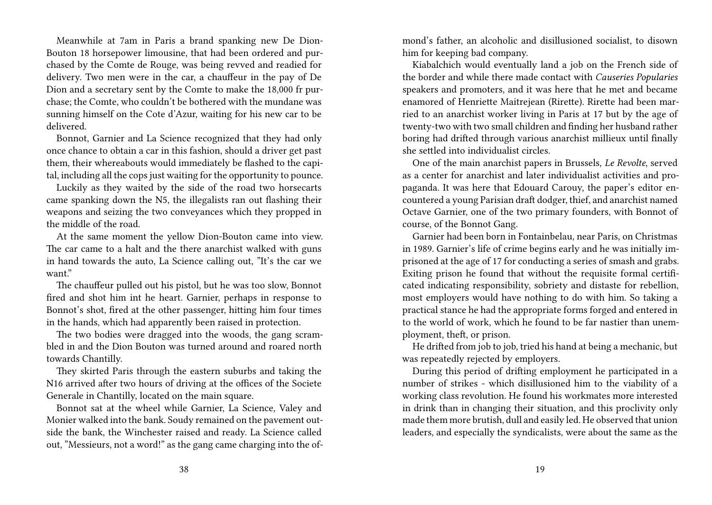Meanwhile at 7am in Paris a brand spanking new De Dion-Bouton 18 horsepower limousine, that had been ordered and purchased by the Comte de Rouge, was being revved and readied for delivery. Two men were in the car, a chauffeur in the pay of De Dion and a secretary sent by the Comte to make the 18,000 fr purchase; the Comte, who couldn't be bothered with the mundane was sunning himself on the Cote d'Azur, waiting for his new car to be delivered.

Bonnot, Garnier and La Science recognized that they had only once chance to obtain a car in this fashion, should a driver get past them, their whereabouts would immediately be flashed to the capital, including all the cops just waiting for the opportunity to pounce.

Luckily as they waited by the side of the road two horsecarts came spanking down the N5, the illegalists ran out flashing their weapons and seizing the two conveyances which they propped in the middle of the road.

At the same moment the yellow Dion-Bouton came into view. The car came to a halt and the there anarchist walked with guns in hand towards the auto, La Science calling out, "It's the car we want."

The chauffeur pulled out his pistol, but he was too slow, Bonnot fired and shot him int he heart. Garnier, perhaps in response to Bonnot's shot, fired at the other passenger, hitting him four times in the hands, which had apparently been raised in protection.

The two bodies were dragged into the woods, the gang scrambled in and the Dion Bouton was turned around and roared north towards Chantilly.

They skirted Paris through the eastern suburbs and taking the N16 arrived after two hours of driving at the offices of the Societe Generale in Chantilly, located on the main square.

Bonnot sat at the wheel while Garnier, La Science, Valey and Monier walked into the bank. Soudy remained on the pavement outside the bank, the Winchester raised and ready. La Science called out, "Messieurs, not a word!" as the gang came charging into the ofmond's father, an alcoholic and disillusioned socialist, to disown him for keeping bad company.

Kiabalchich would eventually land a job on the French side of the border and while there made contact with *Causeries Popularies* speakers and promoters, and it was here that he met and became enamored of Henriette Maitrejean (Rirette). Rirette had been married to an anarchist worker living in Paris at 17 but by the age of twenty-two with two small children and finding her husband rather boring had drifted through various anarchist millieux until finally she settled into individualist circles.

One of the main anarchist papers in Brussels, *Le Revolte*, served as a center for anarchist and later individualist activities and propaganda. It was here that Edouard Carouy, the paper's editor encountered a young Parisian draft dodger, thief, and anarchist named Octave Garnier, one of the two primary founders, with Bonnot of course, of the Bonnot Gang.

Garnier had been born in Fontainbelau, near Paris, on Christmas in 1989. Garnier's life of crime begins early and he was initially imprisoned at the age of 17 for conducting a series of smash and grabs. Exiting prison he found that without the requisite formal certificated indicating responsibility, sobriety and distaste for rebellion, most employers would have nothing to do with him. So taking a practical stance he had the appropriate forms forged and entered in to the world of work, which he found to be far nastier than unemployment, theft, or prison.

He drifted from job to job, tried his hand at being a mechanic, but was repeatedly rejected by employers.

During this period of drifting employment he participated in a number of strikes - which disillusioned him to the viability of a working class revolution. He found his workmates more interested in drink than in changing their situation, and this proclivity only made them more brutish, dull and easily led. He observed that union leaders, and especially the syndicalists, were about the same as the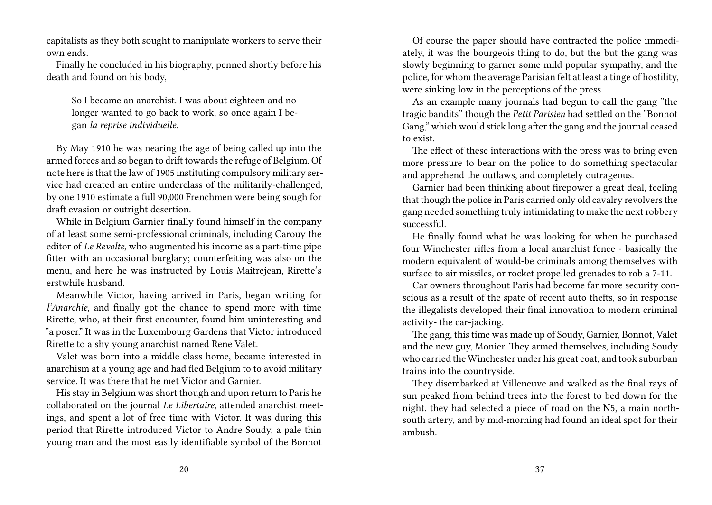capitalists as they both sought to manipulate workers to serve their own ends.

Finally he concluded in his biography, penned shortly before his death and found on his body,

So I became an anarchist. I was about eighteen and no longer wanted to go back to work, so once again I began *la reprise individuelle*.

By May 1910 he was nearing the age of being called up into the armed forces and so began to drift towards the refuge of Belgium. Of note here is that the law of 1905 instituting compulsory military service had created an entire underclass of the militarily-challenged, by one 1910 estimate a full 90,000 Frenchmen were being sough for draft evasion or outright desertion.

While in Belgium Garnier finally found himself in the company of at least some semi-professional criminals, including Carouy the editor of *Le Revolte*, who augmented his income as a part-time pipe fitter with an occasional burglary; counterfeiting was also on the menu, and here he was instructed by Louis Maitrejean, Rirette's erstwhile husband.

Meanwhile Victor, having arrived in Paris, began writing for *l'Anarchie*, and finally got the chance to spend more with time Rirette, who, at their first encounter, found him uninteresting and "a poser." It was in the Luxembourg Gardens that Victor introduced Rirette to a shy young anarchist named Rene Valet.

Valet was born into a middle class home, became interested in anarchism at a young age and had fled Belgium to to avoid military service. It was there that he met Victor and Garnier.

His stay in Belgium was short though and upon return to Paris he collaborated on the journal *Le Libertaire*, attended anarchist meetings, and spent a lot of free time with Victor. It was during this period that Rirette introduced Victor to Andre Soudy, a pale thin young man and the most easily identifiable symbol of the Bonnot

Of course the paper should have contracted the police immediately, it was the bourgeois thing to do, but the but the gang was slowly beginning to garner some mild popular sympathy, and the police, for whom the average Parisian felt at least a tinge of hostility, were sinking low in the perceptions of the press.

As an example many journals had begun to call the gang "the tragic bandits" though the *Petit Parisien* had settled on the "Bonnot Gang," which would stick long after the gang and the journal ceased to exist.

The effect of these interactions with the press was to bring even more pressure to bear on the police to do something spectacular and apprehend the outlaws, and completely outrageous.

Garnier had been thinking about firepower a great deal, feeling that though the police in Paris carried only old cavalry revolvers the gang needed something truly intimidating to make the next robbery successful.

He finally found what he was looking for when he purchased four Winchester rifles from a local anarchist fence - basically the modern equivalent of would-be criminals among themselves with surface to air missiles, or rocket propelled grenades to rob a 7-11.

Car owners throughout Paris had become far more security conscious as a result of the spate of recent auto thefts, so in response the illegalists developed their final innovation to modern criminal activity- the car-jacking.

The gang, this time was made up of Soudy, Garnier, Bonnot, Valet and the new guy, Monier. They armed themselves, including Soudy who carried the Winchester under his great coat, and took suburban trains into the countryside.

They disembarked at Villeneuve and walked as the final rays of sun peaked from behind trees into the forest to bed down for the night. they had selected a piece of road on the N5, a main northsouth artery, and by mid-morning had found an ideal spot for their ambush.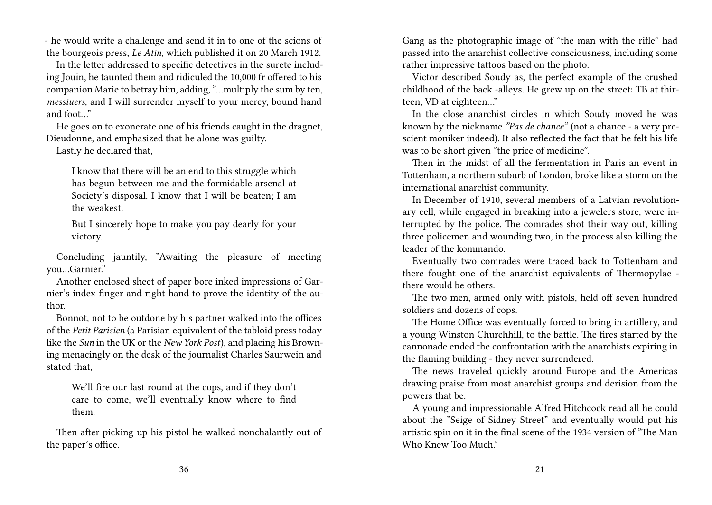- he would write a challenge and send it in to one of the scions of the bourgeois press, *Le Atin*, which published it on 20 March 1912.

In the letter addressed to specific detectives in the surete including Jouin, he taunted them and ridiculed the 10,000 fr offered to his companion Marie to betray him, adding, "…multiply the sum by ten, *messiuers*, and I will surrender myself to your mercy, bound hand and foot…"

He goes on to exonerate one of his friends caught in the dragnet, Dieudonne, and emphasized that he alone was guilty.

Lastly he declared that,

I know that there will be an end to this struggle which has begun between me and the formidable arsenal at Society's disposal. I know that I will be beaten; I am the weakest.

But I sincerely hope to make you pay dearly for your victory.

Concluding jauntily, "Awaiting the pleasure of meeting you…Garnier."

Another enclosed sheet of paper bore inked impressions of Garnier's index finger and right hand to prove the identity of the author.

Bonnot, not to be outdone by his partner walked into the offices of the *Petit Parisien* (a Parisian equivalent of the tabloid press today like the *Sun* in the UK or the *New York Post*), and placing his Browning menacingly on the desk of the journalist Charles Saurwein and stated that,

We'll fire our last round at the cops, and if they don't care to come, we'll eventually know where to find them.

Then after picking up his pistol he walked nonchalantly out of the paper's office.

Gang as the photographic image of "the man with the rifle" had passed into the anarchist collective consciousness, including some rather impressive tattoos based on the photo.

Victor described Soudy as, the perfect example of the crushed childhood of the back -alleys. He grew up on the street: TB at thirteen, VD at eighteen…"

In the close anarchist circles in which Soudy moved he was known by the nickname *"Pas de chance"* (not a chance - a very prescient moniker indeed). It also reflected the fact that he felt his life was to be short given "the price of medicine".

Then in the midst of all the fermentation in Paris an event in Tottenham, a northern suburb of London, broke like a storm on the international anarchist community.

In December of 1910, several members of a Latvian revolutionary cell, while engaged in breaking into a jewelers store, were interrupted by the police. The comrades shot their way out, killing three policemen and wounding two, in the process also killing the leader of the kommando.

Eventually two comrades were traced back to Tottenham and there fought one of the anarchist equivalents of Thermopylae there would be others.

The two men, armed only with pistols, held off seven hundred soldiers and dozens of cops.

The Home Office was eventually forced to bring in artillery, and a young Winston Churchhill, to the battle. The fires started by the cannonade ended the confrontation with the anarchists expiring in the flaming building - they never surrendered.

The news traveled quickly around Europe and the Americas drawing praise from most anarchist groups and derision from the powers that be.

A young and impressionable Alfred Hitchcock read all he could about the "Seige of Sidney Street" and eventually would put his artistic spin on it in the final scene of the 1934 version of "The Man Who Knew Too Much."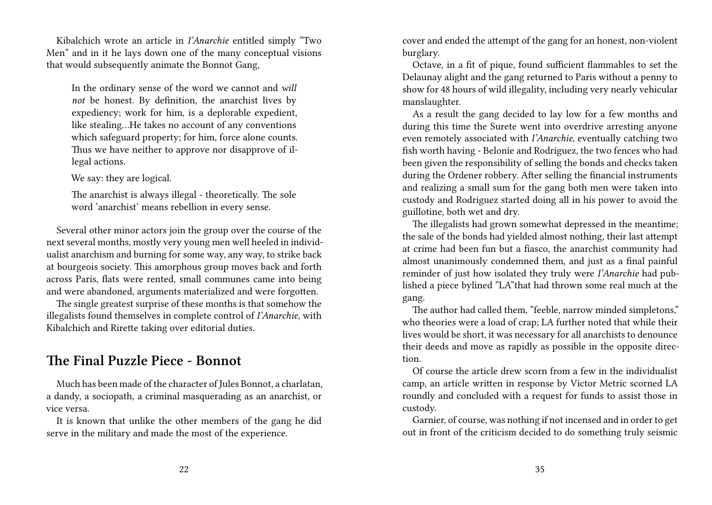Kibalchich wrote an article in *I'Anarchie* entitled simply "Two Men" and in it he lays down one of the many conceptual visions that would subsequently animate the Bonnot Gang,

In the ordinary sense of the word we cannot and *will not* be honest. By definition, the anarchist lives by expediency; work for him, is a deplorable expedient, like stealing…He takes no account of any conventions which safeguard property; for him, force alone counts. Thus we have neither to approve nor disapprove of illegal actions.

We say: they are logical.

The anarchist is always illegal - theoretically. The sole word 'anarchist' means rebellion in every sense.

Several other minor actors join the group over the course of the next several months, mostly very young men well heeled in individualist anarchism and burning for some way, any way, to strike back at bourgeois society. This amorphous group moves back and forth across Paris, flats were rented, small communes came into being and were abandoned, arguments materialized and were forgotten.

The single greatest surprise of these months is that somehow the illegalists found themselves in complete control of *I'Anarchie*, with Kibalchich and Rirette taking over editorial duties.

#### **The Final Puzzle Piece - Bonnot**

Much has been made of the character of Jules Bonnot, a charlatan, a dandy, a sociopath, a criminal masquerading as an anarchist, or vice versa.

It is known that unlike the other members of the gang he did serve in the military and made the most of the experience.

cover and ended the attempt of the gang for an honest, non-violent burglary.

Octave, in a fit of pique, found sufficient flammables to set the Delaunay alight and the gang returned to Paris without a penny to show for 48 hours of wild illegality, including very nearly vehicular manslaughter.

As a result the gang decided to lay low for a few months and during this time the Surete went into overdrive arresting anyone even remotely associated with *I'Anarchie*, eventually catching two fish worth having - Belonie and Rodriguez, the two fences who had been given the responsibility of selling the bonds and checks taken during the Ordener robbery. After selling the financial instruments and realizing a small sum for the gang both men were taken into custody and Rodriguez started doing all in his power to avoid the guillotine, both wet and dry.

The illegalists had grown somewhat depressed in the meantime; the sale of the bonds had yielded almost nothing, their last attempt at crime had been fun but a fiasco, the anarchist community had almost unanimously condemned them, and just as a final painful reminder of just how isolated they truly were *I'Anarchie* had published a piece bylined "LA"that had thrown some real much at the gang.

The author had called them, "feeble, narrow minded simpletons," who theories were a load of crap; LA further noted that while their lives would be short, it was necessary for all anarchists to denounce their deeds and move as rapidly as possible in the opposite direction.

Of course the article drew scorn from a few in the individualist camp, an article written in response by Victor Metric scorned LA roundly and concluded with a request for funds to assist those in custody.

Garnier, of course, was nothing if not incensed and in order to get out in front of the criticism decided to do something truly seismic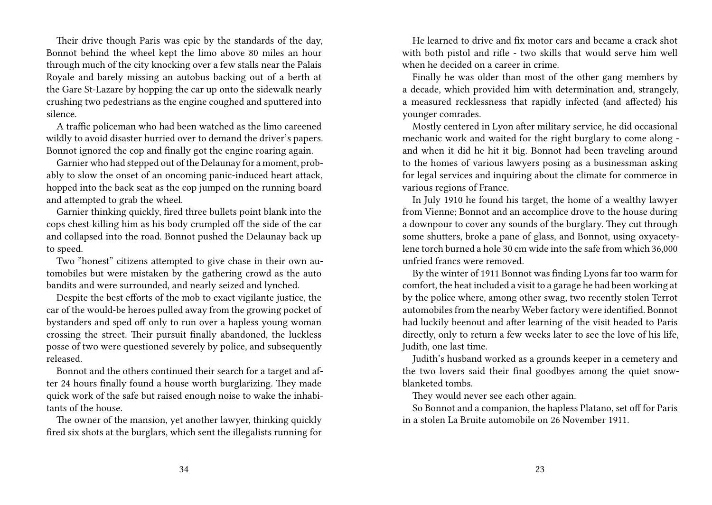Their drive though Paris was epic by the standards of the day, Bonnot behind the wheel kept the limo above 80 miles an hour through much of the city knocking over a few stalls near the Palais Royale and barely missing an autobus backing out of a berth at the Gare St-Lazare by hopping the car up onto the sidewalk nearly crushing two pedestrians as the engine coughed and sputtered into silence.

A traffic policeman who had been watched as the limo careened wildly to avoid disaster hurried over to demand the driver's papers. Bonnot ignored the cop and finally got the engine roaring again.

Garnier who had stepped out of the Delaunay for a moment, probably to slow the onset of an oncoming panic-induced heart attack, hopped into the back seat as the cop jumped on the running board and attempted to grab the wheel.

Garnier thinking quickly, fired three bullets point blank into the cops chest killing him as his body crumpled off the side of the car and collapsed into the road. Bonnot pushed the Delaunay back up to speed.

Two "honest" citizens attempted to give chase in their own automobiles but were mistaken by the gathering crowd as the auto bandits and were surrounded, and nearly seized and lynched.

Despite the best efforts of the mob to exact vigilante justice, the car of the would-be heroes pulled away from the growing pocket of bystanders and sped off only to run over a hapless young woman crossing the street. Their pursuit finally abandoned, the luckless posse of two were questioned severely by police, and subsequently released.

Bonnot and the others continued their search for a target and after 24 hours finally found a house worth burglarizing. They made quick work of the safe but raised enough noise to wake the inhabitants of the house.

The owner of the mansion, yet another lawyer, thinking quickly fired six shots at the burglars, which sent the illegalists running for

He learned to drive and fix motor cars and became a crack shot with both pistol and rifle - two skills that would serve him well when he decided on a career in crime.

Finally he was older than most of the other gang members by a decade, which provided him with determination and, strangely, a measured recklessness that rapidly infected (and affected) his younger comrades.

Mostly centered in Lyon after military service, he did occasional mechanic work and waited for the right burglary to come along and when it did he hit it big. Bonnot had been traveling around to the homes of various lawyers posing as a businessman asking for legal services and inquiring about the climate for commerce in various regions of France.

In July 1910 he found his target, the home of a wealthy lawyer from Vienne; Bonnot and an accomplice drove to the house during a downpour to cover any sounds of the burglary. They cut through some shutters, broke a pane of glass, and Bonnot, using oxyacetylene torch burned a hole 30 cm wide into the safe from which 36,000 unfried francs were removed.

By the winter of 1911 Bonnot was finding Lyons far too warm for comfort, the heat included a visit to a garage he had been working at by the police where, among other swag, two recently stolen Terrot automobiles from the nearby Weber factory were identified. Bonnot had luckily beenout and after learning of the visit headed to Paris directly, only to return a few weeks later to see the love of his life, Judith, one last time.

Judith's husband worked as a grounds keeper in a cemetery and the two lovers said their final goodbyes among the quiet snowblanketed tombs.

They would never see each other again.

So Bonnot and a companion, the hapless Platano, set off for Paris in a stolen La Bruite automobile on 26 November 1911.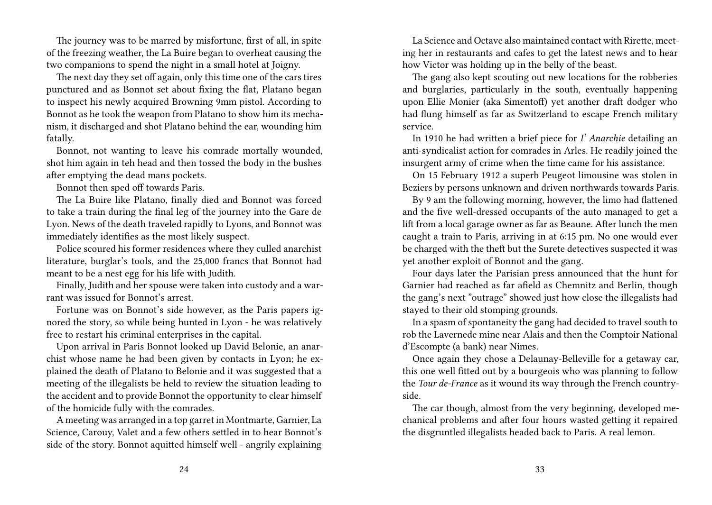The journey was to be marred by misfortune, first of all, in spite of the freezing weather, the La Buire began to overheat causing the two companions to spend the night in a small hotel at Joigny.

The next day they set off again, only this time one of the cars tires punctured and as Bonnot set about fixing the flat, Platano began to inspect his newly acquired Browning 9mm pistol. According to Bonnot as he took the weapon from Platano to show him its mechanism, it discharged and shot Platano behind the ear, wounding him fatally.

Bonnot, not wanting to leave his comrade mortally wounded, shot him again in teh head and then tossed the body in the bushes after emptying the dead mans pockets.

Bonnot then sped off towards Paris.

The La Buire like Platano, finally died and Bonnot was forced to take a train during the final leg of the journey into the Gare de Lyon. News of the death traveled rapidly to Lyons, and Bonnot was immediately identifies as the most likely suspect.

Police scoured his former residences where they culled anarchist literature, burglar's tools, and the 25,000 francs that Bonnot had meant to be a nest egg for his life with Judith.

Finally, Judith and her spouse were taken into custody and a warrant was issued for Bonnot's arrest.

Fortune was on Bonnot's side however, as the Paris papers ignored the story, so while being hunted in Lyon - he was relatively free to restart his criminal enterprises in the capital.

Upon arrival in Paris Bonnot looked up David Belonie, an anarchist whose name he had been given by contacts in Lyon; he explained the death of Platano to Belonie and it was suggested that a meeting of the illegalists be held to review the situation leading to the accident and to provide Bonnot the opportunity to clear himself of the homicide fully with the comrades.

A meeting was arranged in a top garret in Montmarte, Garnier, La Science, Carouy, Valet and a few others settled in to hear Bonnot's side of the story. Bonnot aquitted himself well - angrily explaining

La Science and Octave also maintained contact with Rirette, meeting her in restaurants and cafes to get the latest news and to hear how Victor was holding up in the belly of the beast.

The gang also kept scouting out new locations for the robberies and burglaries, particularly in the south, eventually happening upon Ellie Monier (aka Simentoff) yet another draft dodger who had flung himself as far as Switzerland to escape French military service.

In 1910 he had written a brief piece for *I' Anarchie* detailing an anti-syndicalist action for comrades in Arles. He readily joined the insurgent army of crime when the time came for his assistance.

On 15 February 1912 a superb Peugeot limousine was stolen in Beziers by persons unknown and driven northwards towards Paris.

By 9 am the following morning, however, the limo had flattened and the five well-dressed occupants of the auto managed to get a lift from a local garage owner as far as Beaune. After lunch the men caught a train to Paris, arriving in at 6:15 pm. No one would ever be charged with the theft but the Surete detectives suspected it was yet another exploit of Bonnot and the gang.

Four days later the Parisian press announced that the hunt for Garnier had reached as far afield as Chemnitz and Berlin, though the gang's next "outrage" showed just how close the illegalists had stayed to their old stomping grounds.

In a spasm of spontaneity the gang had decided to travel south to rob the Lavernede mine near Alais and then the Comptoir National d'Escompte (a bank) near Nimes.

Once again they chose a Delaunay-Belleville for a getaway car, this one well fitted out by a bourgeois who was planning to follow the *Tour de-France* as it wound its way through the French countryside.

The car though, almost from the very beginning, developed mechanical problems and after four hours wasted getting it repaired the disgruntled illegalists headed back to Paris. A real lemon.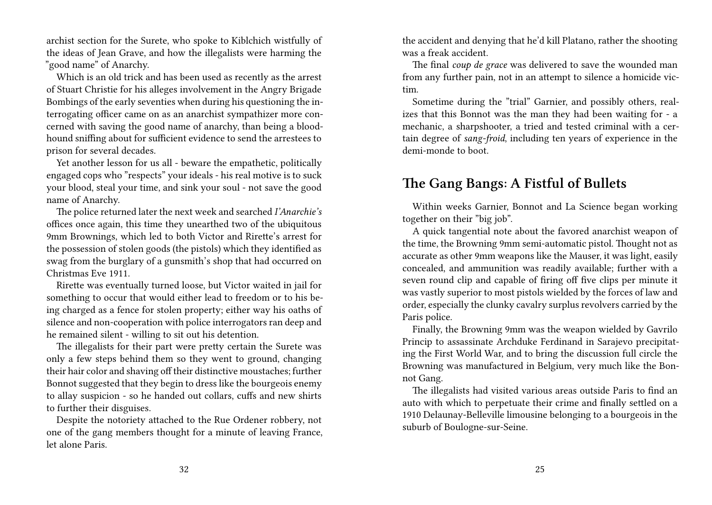archist section for the Surete, who spoke to Kiblchich wistfully of the ideas of Jean Grave, and how the illegalists were harming the "good name" of Anarchy.

Which is an old trick and has been used as recently as the arrest of Stuart Christie for his alleges involvement in the Angry Brigade Bombings of the early seventies when during his questioning the interrogating officer came on as an anarchist sympathizer more concerned with saving the good name of anarchy, than being a bloodhound sniffing about for sufficient evidence to send the arrestees to prison for several decades.

Yet another lesson for us all - beware the empathetic, politically engaged cops who "respects" your ideals - his real motive is to suck your blood, steal your time, and sink your soul - not save the good name of Anarchy.

The police returned later the next week and searched *I'Anarchie's* offices once again, this time they unearthed two of the ubiquitous 9mm Brownings, which led to both Victor and Rirette's arrest for the possession of stolen goods (the pistols) which they identified as swag from the burglary of a gunsmith's shop that had occurred on Christmas Eve 1911.

Rirette was eventually turned loose, but Victor waited in jail for something to occur that would either lead to freedom or to his being charged as a fence for stolen property; either way his oaths of silence and non-cooperation with police interrogators ran deep and he remained silent - willing to sit out his detention.

The illegalists for their part were pretty certain the Surete was only a few steps behind them so they went to ground, changing their hair color and shaving off their distinctive moustaches; further Bonnot suggested that they begin to dress like the bourgeois enemy to allay suspicion - so he handed out collars, cuffs and new shirts to further their disguises.

Despite the notoriety attached to the Rue Ordener robbery, not one of the gang members thought for a minute of leaving France, let alone Paris.

the accident and denying that he'd kill Platano, rather the shooting was a freak accident.

The final *coup de grace* was delivered to save the wounded man from any further pain, not in an attempt to silence a homicide victim.

Sometime during the "trial" Garnier, and possibly others, realizes that this Bonnot was the man they had been waiting for - a mechanic, a sharpshooter, a tried and tested criminal with a certain degree of *sang-froid*, including ten years of experience in the demi-monde to boot.

#### **The Gang Bangs: A Fistful of Bullets**

Within weeks Garnier, Bonnot and La Science began working together on their "big job".

A quick tangential note about the favored anarchist weapon of the time, the Browning 9mm semi-automatic pistol. Thought not as accurate as other 9mm weapons like the Mauser, it was light, easily concealed, and ammunition was readily available; further with a seven round clip and capable of firing off five clips per minute it was vastly superior to most pistols wielded by the forces of law and order, especially the clunky cavalry surplus revolvers carried by the Paris police.

Finally, the Browning 9mm was the weapon wielded by Gavrilo Princip to assassinate Archduke Ferdinand in Sarajevo precipitating the First World War, and to bring the discussion full circle the Browning was manufactured in Belgium, very much like the Bonnot Gang.

The illegalists had visited various areas outside Paris to find an auto with which to perpetuate their crime and finally settled on a 1910 Delaunay-Belleville limousine belonging to a bourgeois in the suburb of Boulogne-sur-Seine.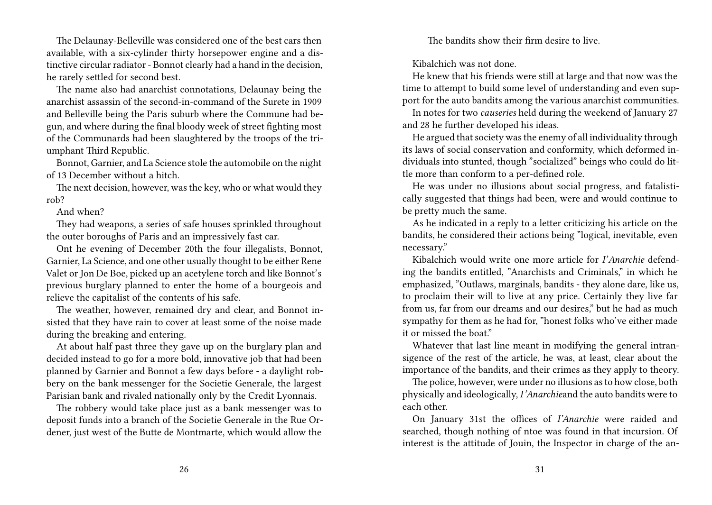The Delaunay-Belleville was considered one of the best cars then available, with a six-cylinder thirty horsepower engine and a distinctive circular radiator - Bonnot clearly had a hand in the decision, he rarely settled for second best.

The name also had anarchist connotations, Delaunay being the anarchist assassin of the second-in-command of the Surete in 1909 and Belleville being the Paris suburb where the Commune had begun, and where during the final bloody week of street fighting most of the Communards had been slaughtered by the troops of the triumphant Third Republic.

Bonnot, Garnier, and La Science stole the automobile on the night of 13 December without a hitch.

The next decision, however, was the key, who or what would they rob?

And when?

They had weapons, a series of safe houses sprinkled throughout the outer boroughs of Paris and an impressively fast car.

Ont he evening of December 20th the four illegalists, Bonnot, Garnier, La Science, and one other usually thought to be either Rene Valet or Jon De Boe, picked up an acetylene torch and like Bonnot's previous burglary planned to enter the home of a bourgeois and relieve the capitalist of the contents of his safe.

The weather, however, remained dry and clear, and Bonnot insisted that they have rain to cover at least some of the noise made during the breaking and entering.

At about half past three they gave up on the burglary plan and decided instead to go for a more bold, innovative job that had been planned by Garnier and Bonnot a few days before - a daylight robbery on the bank messenger for the Societie Generale, the largest Parisian bank and rivaled nationally only by the Credit Lyonnais.

The robbery would take place just as a bank messenger was to deposit funds into a branch of the Societie Generale in the Rue Ordener, just west of the Butte de Montmarte, which would allow the

The bandits show their firm desire to live.

Kibalchich was not done.

He knew that his friends were still at large and that now was the time to attempt to build some level of understanding and even support for the auto bandits among the various anarchist communities.

In notes for two *causeries* held during the weekend of January 27 and 28 he further developed his ideas.

He argued that society was the enemy of all individuality through its laws of social conservation and conformity, which deformed individuals into stunted, though "socialized" beings who could do little more than conform to a per-defined role.

He was under no illusions about social progress, and fatalistically suggested that things had been, were and would continue to be pretty much the same.

As he indicated in a reply to a letter criticizing his article on the bandits, he considered their actions being "logical, inevitable, even necessary."

Kibalchich would write one more article for *I'Anarchie* defending the bandits entitled, "Anarchists and Criminals," in which he emphasized, "Outlaws, marginals, bandits - they alone dare, like us, to proclaim their will to live at any price. Certainly they live far from us, far from our dreams and our desires," but he had as much sympathy for them as he had for, "honest folks who've either made it or missed the boat"

Whatever that last line meant in modifying the general intransigence of the rest of the article, he was, at least, clear about the importance of the bandits, and their crimes as they apply to theory.

The police, however, were under no illusions as to how close, both physically and ideologically, *I'Anarchie*and the auto bandits were to each other.

On January 31st the offices of *I'Anarchie* were raided and searched, though nothing of ntoe was found in that incursion. Of interest is the attitude of Jouin, the Inspector in charge of the an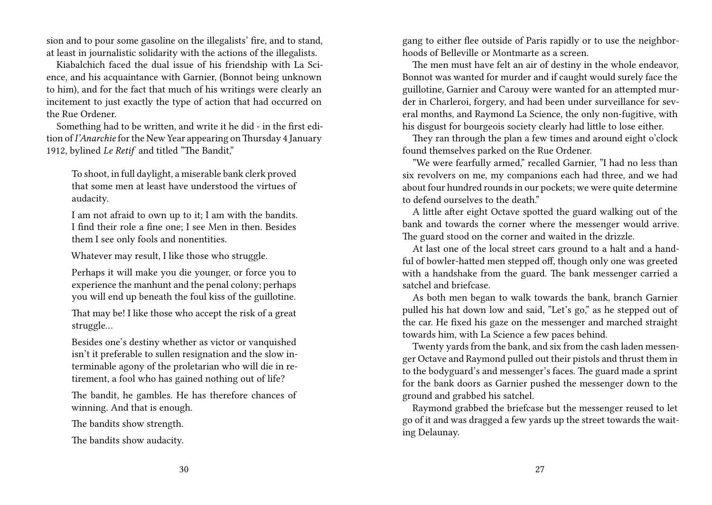sion and to pour some gasoline on the illegalists' fire, and to stand, at least in journalistic solidarity with the actions of the illegalists.

Kiabalchich faced the dual issue of his friendship with La Science, and his acquaintance with Garnier, (Bonnot being unknown to him), and for the fact that much of his writings were clearly an incitement to just exactly the type of action that had occurred on the Rue Ordener.

Something had to be written, and write it he did - in the first edition of *I'Anarchie* for the New Year appearing onThursday 4 January 1912, bylined *Le Retif* and titled "The Bandit,"

To shoot, in full daylight, a miserable bank clerk proved that some men at least have understood the virtues of audacity.

I am not afraid to own up to it; I am with the bandits. I find their role a fine one; I see Men in then. Besides them I see only fools and nonentities.

Whatever may result, I like those who struggle.

Perhaps it will make you die younger, or force you to experience the manhunt and the penal colony; perhaps you will end up beneath the foul kiss of the guillotine.

That may be! I like those who accept the risk of a great struggle…

Besides one's destiny whether as victor or vanquished isn't it preferable to sullen resignation and the slow interminable agony of the proletarian who will die in retirement, a fool who has gained nothing out of life?

The bandit, he gambles. He has therefore chances of winning. And that is enough.

The bandits show strength.

The bandits show audacity.

gang to either flee outside of Paris rapidly or to use the neighborhoods of Belleville or Montmarte as a screen.

The men must have felt an air of destiny in the whole endeavor, Bonnot was wanted for murder and if caught would surely face the guillotine, Garnier and Carouy were wanted for an attempted murder in Charleroi, forgery, and had been under surveillance for several months, and Raymond La Science, the only non-fugitive, with his disgust for bourgeois society clearly had little to lose either.

They ran through the plan a few times and around eight o'clock found themselves parked on the Rue Ordener.

"We were fearfully armed," recalled Garnier, "I had no less than six revolvers on me, my companions each had three, and we had about four hundred rounds in our pockets; we were quite determine to defend ourselves to the death"

A little after eight Octave spotted the guard walking out of the bank and towards the corner where the messenger would arrive. The guard stood on the corner and waited in the drizzle.

At last one of the local street cars ground to a halt and a handful of bowler-hatted men stepped off, though only one was greeted with a handshake from the guard. The bank messenger carried a satchel and briefcase.

As both men began to walk towards the bank, branch Garnier pulled his hat down low and said, "Let's go," as he stepped out of the car. He fixed his gaze on the messenger and marched straight towards him, with La Science a few paces behind.

Twenty yards from the bank, and six from the cash laden messenger Octave and Raymond pulled out their pistols and thrust them in to the bodyguard's and messenger's faces. The guard made a sprint for the bank doors as Garnier pushed the messenger down to the ground and grabbed his satchel.

Raymond grabbed the briefcase but the messenger reused to let go of it and was dragged a few yards up the street towards the waiting Delaunay.